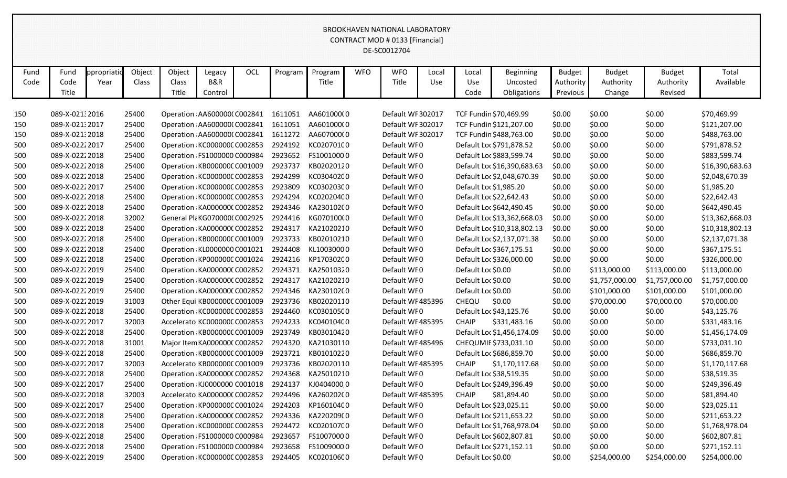|      |                |             |        |                                     |         |     |         |            |            |                                 | <b>BROOKHAVEN NATIONAL LABORATORY</b> |                    |                             |               |                |                |                 |
|------|----------------|-------------|--------|-------------------------------------|---------|-----|---------|------------|------------|---------------------------------|---------------------------------------|--------------------|-----------------------------|---------------|----------------|----------------|-----------------|
|      |                |             |        |                                     |         |     |         |            |            | CONTRACT MOD # 0133 [Financial] |                                       |                    |                             |               |                |                |                 |
|      |                |             |        |                                     |         |     |         |            |            | DE-SC0012704                    |                                       |                    |                             |               |                |                |                 |
| Fund | Fund           | ppropriatic | Object | Object                              | Legacy  | OCL | Program | Program    | <b>WFO</b> | <b>WFO</b>                      | Local                                 | Local              | Beginning                   | <b>Budget</b> | <b>Budget</b>  | <b>Budget</b>  | Total           |
| Code | Code           | Year        | Class  | Class                               | B&R     |     |         | Title      |            | Title                           | Use                                   | Use                | Uncosted                    | Authority     | Authority      | Authority      | Available       |
|      | Title          |             |        | Title                               | Control |     |         |            |            |                                 |                                       | Code               | Obligations                 | Previous      | Change         | Revised        |                 |
|      |                |             |        |                                     |         |     |         |            |            |                                 |                                       |                    |                             |               |                |                |                 |
| 150  | 089-X-02132016 |             | 25400  | Operation AA600000(C002841          |         |     | 1611051 | AA601000(0 |            | Default WF 302017               |                                       |                    | TCF Fundin \$70,469.99      | \$0.00        | \$0.00         | \$0.00         | \$70,469.99     |
| 150  | 089-X-021:2017 |             | 25400  | Operation AA600000(C002841          |         |     | 1611051 | AA601000(0 |            | Default WF 302017               |                                       |                    | TCF Fundin \$121,207.00     | \$0.00        | \$0.00         | \$0.00         | \$121,207.00    |
| 150  | 089-X-02132018 |             | 25400  | Operation AA6000000 C002841         |         |     | 1611272 | AA607000(0 |            | Default WF 302017               |                                       |                    | TCF Fundin \$488,763.00     | \$0.00        | \$0.00         | \$0.00         | \$488,763.00    |
| 500  | 089-X-02222017 |             | 25400  | Operation KC000000C C002853         |         |     | 2924192 | KC020701C0 |            | Default WF0                     |                                       |                    | Default Loc \$791,878.52    | \$0.00        | \$0.00         | \$0.00         | \$791,878.52    |
| 500  | 089-X-02222018 |             | 25400  | Operation FS1000000 C000984         |         |     | 2923652 | FS10010000 |            | Default WF0                     |                                       |                    | Default Loc \$883,599.74    | \$0.00        | \$0.00         | \$0.00         | \$883,599.74    |
| 500  | 089-X-02222018 |             | 25400  | Operation KB000000C C001009         |         |     | 2923737 | KB02020120 |            | Default WF0                     |                                       |                    | Default Loc \$16,390,683.63 | \$0.00        | \$0.00         | \$0.00         | \$16,390,683.63 |
| 500  | 089-X-02222018 |             | 25400  | Operation KC000000C C002853         |         |     | 2924299 | KC030402C0 |            | Default WF0                     |                                       |                    | Default Loc \$2,048,670.39  | \$0.00        | \$0.00         | \$0.00         | \$2,048,670.39  |
| 500  | 089-X-02222017 |             | 25400  | Operation KC000000C C002853         |         |     | 2923809 | KC03020300 |            | Default WF0                     |                                       |                    | Default Loc \$1,985.20      | \$0.00        | \$0.00         | \$0.00         | \$1,985.20      |
| 500  | 089-X-02222018 |             | 25400  | Operation KC000000C C002853         |         |     | 2924294 | KC020204C0 |            | Default WF0                     |                                       |                    | Default Loc \$22,642.43     | \$0.00        | \$0.00         | \$0.00         | \$22,642.43     |
| 500  | 089-X-02222018 |             | 25400  | Operation KA000000(C002852          |         |     | 2924346 | KA230102(0 |            | Default WF0                     |                                       |                    | Default Loc \$642,490.45    | \$0.00        | \$0.00         | \$0.00         | \$642,490.45    |
| 500  | 089-X-02222018 |             | 32002  | General Pla KG070000(C002925        |         |     | 2924416 | KG070100(0 |            | Default WF0                     |                                       |                    | Default Loc \$13,362,668.03 | \$0.00        | \$0.00         | \$0.00         | \$13,362,668.03 |
| 500  | 089-X-02222018 |             | 25400  | Operation KA000000(C002852          |         |     | 2924317 | KA21020210 |            | Default WF0                     |                                       |                    | Default Loc \$10,318,802.13 | \$0.00        | \$0.00         | \$0.00         | \$10,318,802.13 |
| 500  | 089-X-02222018 |             | 25400  | Operation KB000000C C001009         |         |     | 2923733 | KB02010210 |            | Default WF0                     |                                       |                    | Default Loc \$2,137,071.38  | \$0.00        | \$0.00         | \$0.00         | \$2,137,071.38  |
| 500  | 089-X-02222018 |             | 25400  | Operation KL0000000 C001021         |         |     | 2924408 | KL10030000 |            | Default WF0                     |                                       |                    | Default Loc \$367,175.51    | \$0.00        | \$0.00         | \$0.00         | \$367,175.51    |
| 500  | 089-X-02222018 |             | 25400  | Operation KP000000C C001024         |         |     | 2924216 | KP170302C0 |            | Default WF0                     |                                       |                    | Default Loc \$326,000.00    | \$0.00        | \$0.00         | \$0.00         | \$326,000.00    |
| 500  | 089-X-02222019 |             | 25400  | Operation KA0000000 C002852         |         |     | 2924371 | KA25010320 |            | Default WF0                     |                                       | Default Loc \$0.00 |                             | \$0.00        | \$113,000.00   | \$113,000.00   | \$113,000.00    |
| 500  | 089-X-02222019 |             | 25400  | Operation KA0000000 C002852         |         |     | 2924317 | KA21020210 |            | Default WF0                     |                                       | Default Loc \$0.00 |                             | \$0.00        | \$1,757,000.00 | \$1,757,000.00 | \$1,757,000.00  |
| 500  | 089-X-02222019 |             | 25400  | Operation KA0000000 C002852         |         |     | 2924346 | KA230102(0 |            | Default WF0                     |                                       | Default Loc \$0.00 |                             | \$0.00        | \$101,000.00   | \$101,000.00   | \$101,000.00    |
| 500  | 089-X-02222019 |             | 31003  | Other Equi KB000000C C001009        |         |     | 2923736 | KB02020110 |            | Default WF485396                |                                       | CHEQU              | \$0.00                      | \$0.00        | \$70,000.00    | \$70,000.00    | \$70,000.00     |
| 500  | 089-X-02222018 |             | 25400  | Operation KC000000CC002853          |         |     | 2924460 | KC030105C0 |            | Default WF0                     |                                       |                    | Default Loc \$43,125.76     | \$0.00        | \$0.00         | \$0.00         | \$43,125.76     |
| 500  | 089-X-02222017 |             | 32003  | Accelerato KC000000C C002853        |         |     | 2924233 | KC04010400 |            | Default WF485395                |                                       | <b>CHAIP</b>       | \$331,483.16                | \$0.00        | \$0.00         | \$0.00         | \$331,483.16    |
| 500  | 089-X-02222018 |             | 25400  | Operation KB000000C C001009         |         |     | 2923749 | KB03010420 |            | Default WF0                     |                                       |                    | Default Loc \$1,456,174.09  | \$0.00        | \$0.00         | \$0.00         | \$1,456,174.09  |
| 500  | 089-X-02222018 |             | 31001  | Major Item KA0000000 C002852        |         |     | 2924320 | KA21030110 |            | Default WF485496                |                                       |                    | CHEQUMIE \$733,031.10       | \$0.00        | \$0.00         | \$0.00         | \$733,031.10    |
| 500  | 089-X-02222018 |             | 25400  | Operation KB000000C C001009         |         |     | 2923721 | KB01010220 |            | Default WF0                     |                                       |                    | Default Loc \$686,859.70    | \$0.00        | \$0.00         | \$0.00         | \$686,859.70    |
| 500  | 089-X-02222017 |             | 32003  | Accelerato KB000000C C001009        |         |     | 2923736 | KB02020110 |            | Default WF485395                |                                       | <b>CHAIP</b>       | \$1,170,117.68              | \$0.00        | \$0.00         | \$0.00         | \$1,170,117.68  |
| 500  | 089-X-02222018 |             | 25400  | Operation KA0000000 C002852         |         |     | 2924368 | KA25010210 |            | Default WF0                     |                                       |                    | Default Loc \$38,519.35     | \$0.00        | \$0.00         | \$0.00         | \$38,519.35     |
| 500  | 089-X-02222017 |             | 25400  | Operation KJ0000000 C001018         |         |     | 2924137 | KJ04040000 |            | Default WF0                     |                                       |                    | Default Loc \$249,396.49    | \$0.00        | \$0.00         | \$0.00         | \$249,396.49    |
| 500  | 089-X-02222018 |             | 32003  | Accelerato KA0000000 C002852        |         |     | 2924496 | KA260202(0 |            | Default WF485395                |                                       | <b>CHAIP</b>       | \$81,894.40                 | \$0.00        | \$0.00         | \$0.00         | \$81,894.40     |
| 500  | 089-X-02222017 |             | 25400  | Operation KP000000C C001024         |         |     | 2924203 | KP160104C0 |            | Default WF0                     |                                       |                    | Default Loc \$23,025.11     | \$0.00        | \$0.00         | \$0.00         | \$23,025.11     |
| 500  | 089-X-02222018 |             | 25400  | Operation KA0000000 C002852         |         |     | 2924336 | KA220209(0 |            | Default WF0                     |                                       |                    | Default Loc \$211,653.22    | \$0.00        | \$0.00         | \$0.00         | \$211,653.22    |
| 500  | 089-X-02222018 |             | 25400  | Operation KC000000C C002853         |         |     | 2924472 | KC020107C0 |            | Default WF0                     |                                       |                    | Default Loc \$1,768,978.04  | \$0.00        | \$0.00         | \$0.00         | \$1,768,978.04  |
| 500  | 089-X-02222018 |             | 25400  | Operation FS1000000 C000984         |         |     | 2923657 | FS10070000 |            | Default WF0                     |                                       |                    | Default Loc \$602,807.81    | \$0.00        | \$0.00         | \$0.00         | \$602,807.81    |
| 500  | 089-X-02222018 |             | 25400  | Operation FS1000000 C000984         |         |     | 2923658 | FS10090000 |            | Default WF0                     |                                       |                    | Default Loc \$271,152.11    | \$0.00        | \$0.00         | \$0.00         | \$271,152.11    |
| 500  | 089-X-02222019 |             | 25400  | Operation KC000000C C002853 2924405 |         |     |         | KC020106C0 |            | Default WF0                     |                                       | Default Loc \$0.00 |                             | \$0.00        | \$254,000.00   | \$254,000.00   | \$254,000.00    |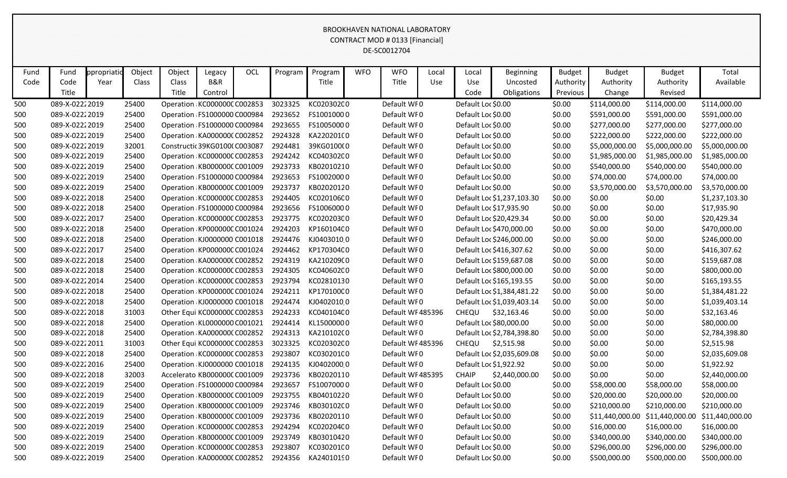| Fund | Fund            | ppropriati | Object | Object | Legacy                              | <b>OCL</b> | Program | Program    | <b>WFO</b> | <b>WFO</b>       | Local | Local              | <b>Beginning</b>           | <b>Budget</b> | <b>Budget</b>   | <b>Budget</b>  | Total                           |
|------|-----------------|------------|--------|--------|-------------------------------------|------------|---------|------------|------------|------------------|-------|--------------------|----------------------------|---------------|-----------------|----------------|---------------------------------|
| Code | Code            | Year       | Class  | Class  | B&R                                 |            |         | Title      |            | Title            | Use   | Use                | Uncosted                   | Authority     | Authority       | Authority      | Available                       |
|      | Title           |            |        | Title  | Control                             |            |         |            |            |                  |       | Code               | Obligations                | Previous      | Change          | Revised        |                                 |
| 500  | 089-X-02222019  |            | 25400  |        | Operation KC000000C C002853         |            | 3023325 | KC020302C0 |            | Default WF0      |       | Default Loc \$0.00 |                            | \$0.00        | \$114,000.00    | \$114,000.00   | \$114,000.00                    |
| 500  | 089-X-02222019  |            | 25400  |        | Operation FS1000000 C000984         |            | 2923652 | FS10010000 |            | Default WF0      |       | Default Loc \$0.00 |                            | \$0.00        | \$591,000.00    | \$591,000.00   | \$591,000.00                    |
| 500  | 089-X-02222019  |            | 25400  |        | Operation FS1000000 C000984         |            | 2923655 | FS10050000 |            | Default WF0      |       | Default Loc \$0.00 |                            | \$0.00        | \$277,000.00    | \$277,000.00   | \$277,000.00                    |
| 500  | 089-X-02222019  |            | 25400  |        | Operation KA0000000 C002852         |            | 2924328 | KA220201(0 |            | Default WF0      |       | Default Loc \$0.00 |                            | \$0.00        | \$222,000.00    | \$222,000.00   | \$222,000.00                    |
| 500  | 089-X-02222019  |            | 32001  |        | Constructic 39KG01000 C003087       |            | 2924481 | 39KG0100(0 |            | Default WF0      |       | Default Loc \$0.00 |                            | \$0.00        | \$5,000,000.00  | \$5,000,000.00 | \$5,000,000.00                  |
| 500  | 089-X-0222 2019 |            | 25400  |        | Operation KC000000CC002853          |            | 2924242 | KC04030200 |            | Default WF0      |       | Default Loc \$0.00 |                            | \$0.00        | \$1,985,000.00  | \$1,985,000.00 | \$1,985,000.00                  |
| 500  | 089-X-0222 2019 |            | 25400  |        | Operation KB000000C C001009         |            | 2923733 | KB02010210 |            | Default WF0      |       | Default Loc \$0.00 |                            | \$0.00        | \$540,000.00    | \$540,000.00   | \$540,000.00                    |
| 500  | 089-X-02222019  |            | 25400  |        | Operation FS1000000 C000984         |            | 2923653 | FS10020000 |            | Default WF0      |       | Default Loc \$0.00 |                            | \$0.00        | \$74,000.00     | \$74,000.00    | \$74,000.00                     |
| 500  | 089-X-02222019  |            | 25400  |        | Operation KB000000C C001009         |            | 2923737 | KB02020120 |            | Default WF0      |       | Default Loc \$0.00 |                            | \$0.00        | \$3,570,000.00  | \$3,570,000.00 | \$3,570,000.00                  |
| 500  | 089-X-02222018  |            | 25400  |        | Operation KC000000C C002853         |            | 2924405 | KC020106C0 |            | Default WF0      |       |                    | Default Loc \$1,237,103.30 | \$0.00        | \$0.00          | \$0.00         | \$1,237,103.30                  |
| 500  | 089-X-02222018  |            | 25400  |        | Operation FS1000000 C000984         |            | 2923656 | FS10060000 |            | Default WF0      |       |                    | Default Loc \$17,935.90    | \$0.00        | \$0.00          | \$0.00         | \$17,935.90                     |
| 500  | 089-X-02222017  |            | 25400  |        | Operation KC000000C C002853         |            | 2923775 | KC020203C0 |            | Default WF0      |       |                    | Default Loc \$20,429.34    | \$0.00        | \$0.00          | \$0.00         | \$20,429.34                     |
| 500  | 089-X-02222018  |            | 25400  |        | Operation KP000000C C001024         |            | 2924203 | KP160104C0 |            | Default WF0      |       |                    | Default Loc \$470,000.00   | \$0.00        | \$0.00          | \$0.00         | \$470,000.00                    |
| 500  | 089-X-02222018  |            | 25400  |        | Operation KJ0000000 C001018         |            | 2924476 | KJ04030100 |            | Default WF0      |       |                    | Default Loc \$246,000.00   | \$0.00        | \$0.00          | \$0.00         | \$246,000.00                    |
| 500  | 089-X-02222017  |            | 25400  |        | Operation KP000000C C001024         |            | 2924462 | KP170304C0 |            | Default WF0      |       |                    | Default Loc \$416,307.62   | \$0.00        | \$0.00          | \$0.00         | \$416,307.62                    |
| 500  | 089-X-02222018  |            | 25400  |        | Operation KA0000000 C002852         |            | 2924319 | KA210209(0 |            | Default WF0      |       |                    | Default Loc \$159,687.08   | \$0.00        | \$0.00          | \$0.00         | \$159,687.08                    |
| 500  | 089-X-02222018  |            | 25400  |        | Operation KC000000C C002853         |            | 2924305 | KC04060200 |            | Default WF0      |       |                    | Default Loc \$800,000.00   | \$0.00        | \$0.00          | \$0.00         | \$800,000.00                    |
| 500  | 089-X-02222014  |            | 25400  |        | Operation KC000000C C002853         |            | 2923794 | KC02810130 |            | Default WF0      |       |                    | Default Loc \$165,193.55   | \$0.00        | \$0.00          | \$0.00         | \$165,193.55                    |
| 500  | 089-X-02222018  |            | 25400  |        | Operation KP000000C C001024         |            | 2924211 | KP170100C0 |            | Default WF0      |       |                    | Default Loc \$1,384,481.22 | \$0.00        | \$0.00          | \$0.00         | \$1,384,481.22                  |
| 500  | 089-X-02222018  |            | 25400  |        | Operation KJ0000000 C001018         |            | 2924474 | KJ04020100 |            | Default WF0      |       |                    | Default Loc \$1,039,403.14 | \$0.00        | \$0.00          | \$0.00         | \$1,039,403.14                  |
| 500  | 089-X-02222018  |            | 31003  |        | Other Equi KC000000C C002853        |            | 2924233 | KC04010400 |            | Default WF485396 |       | CHEQU              | \$32,163.46                | \$0.00        | \$0.00          | \$0.00         | \$32,163.46                     |
| 500  | 089-X-02222018  |            | 25400  |        | Operation KL0000000 C001021         |            | 2924414 | KL15000000 |            | Default WF0      |       |                    | Default Loc \$80,000.00    | \$0.00        | \$0.00          | \$0.00         | \$80,000.00                     |
| 500  | 089-X-02222018  |            | 25400  |        | Operation KA0000000 C002852         |            | 2924313 | KA210102(0 |            | Default WF0      |       |                    | Default Loc \$2,784,398.80 | \$0.00        | \$0.00          | \$0.00         | \$2,784,398.80                  |
| 500  | 089-X-02222011  |            | 31003  |        | Other Equi KC000000C C002853        |            | 3023325 | KC02030200 |            | Default WF485396 |       | CHEQU              | \$2,515.98                 | \$0.00        | \$0.00          | \$0.00         | \$2,515.98                      |
| 500  | 089-X-02222018  |            | 25400  |        | Operation KC000000C C002853         |            | 2923807 | KC03020100 |            | Default WF0      |       |                    | Default Loc \$2,035,609.08 | \$0.00        | \$0.00          | \$0.00         | \$2,035,609.08                  |
| 500  | 089-X-02222016  |            | 25400  |        | Operation KJ0000000 C001018         |            | 2924135 | KJ04020000 |            | Default WF0      |       |                    | Default Loc \$1,922.92     | \$0.00        | \$0.00          | \$0.00         | \$1,922.92                      |
| 500  | 089-X-02222018  |            | 32003  |        | Accelerato KB000000C C001009        |            | 2923736 | KB02020110 |            | Default WF485395 |       | <b>CHAIP</b>       | \$2,440,000.00             | \$0.00        | \$0.00          | \$0.00         | \$2,440,000.00                  |
| 500  | 089-X-02222019  |            | 25400  |        | Operation FS1000000 C000984         |            | 2923657 | FS10070000 |            | Default WF0      |       | Default Loc \$0.00 |                            | \$0.00        | \$58,000.00     | \$58,000.00    | \$58,000.00                     |
| 500  | 089-X-02222019  |            | 25400  |        | Operation KB000000C C001009         |            | 2923755 | KB04010220 |            | Default WF0      |       | Default Loc \$0.00 |                            | \$0.00        | \$20,000.00     | \$20,000.00    | \$20,000.00                     |
| 500  | 089-X-02222019  |            | 25400  |        | Operation KB000000C C001009 2923746 |            |         | KB030102C0 |            | Default WF0      |       | Default Loc \$0.00 |                            | \$0.00        | \$210,000.00    | \$210,000.00   | \$210,000.00                    |
| 500  | 089-X-02222019  |            | 25400  |        | Operation KB000000C C001009         |            | 2923736 | KB02020110 |            | Default WF0      |       | Default Loc \$0.00 |                            | \$0.00        | \$11,440,000.00 |                | \$11,440,000.00 \$11,440,000.00 |
| 500  | 089-X-02222019  |            | 25400  |        | Operation KC000000CC002853 2924294  |            |         | KC02020400 |            | Default WFO      |       | Default Loc \$0.00 |                            | \$0.00        | \$16,000.00     | \$16,000.00    | \$16,000.00                     |
| 500  | 089-X-02222019  |            | 25400  |        | Operation KB000000C C001009 2923749 |            |         | KB03010420 |            | Default WF0      |       | Default Loc \$0.00 |                            | \$0.00        | \$340,000.00    | \$340,000.00   | \$340,000.00                    |
| 500  | 089-X-02222019  |            | 25400  |        | Operation KC000000C C002853 2923807 |            |         | KC03020100 |            | Default WF0      |       | Default Loc \$0.00 |                            | \$0.00        | \$296,000.00    | \$296,000.00   | \$296,000.00                    |
| 500  | 089-X-02222019  |            | 25400  |        | Operation KA0000000 C002852 2924356 |            |         | KA24010190 |            | Default WF0      |       | Default Loc \$0.00 |                            | \$0.00        | \$500,000.00    | \$500,000.00   | \$500,000.00                    |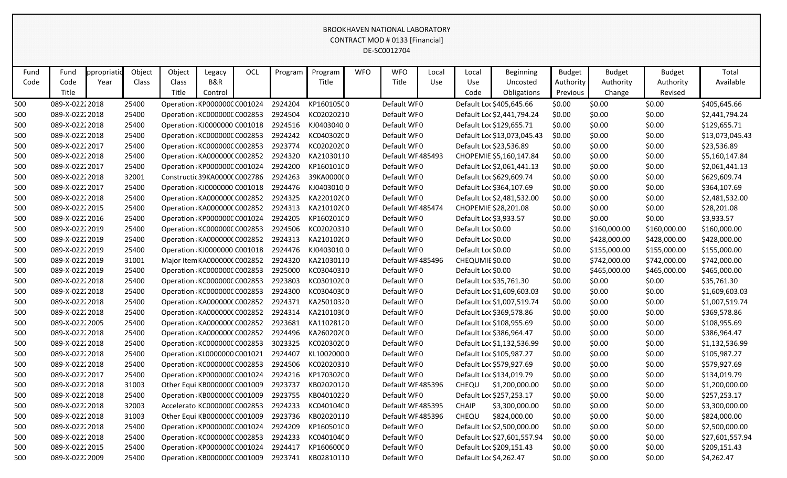# Fund | Fund ppropriatio Object | Object | Legacy | OCL | Program | Program | WFO | Local | Local | Beginning | Budget | Budget | Budget | Total Code Code Year Class Class B&R The Title Title Title Use Use Uncosted Authority Authority Authority Authority Authority Authority Available Title **Title Control Control Control Control Control Control Control Control Change Revised** BROOKHAVEN NATIONAL LABORATORY CONTRACT MOD # 0133 [Financial] DE-SC0012704 500 089-X-0222 2018 25400 Operation a KP0000000 C001024 2924204 KP1601050 0 Default WF 0 Default Loc \$405,645.66 \$0.00 \$0.00 \$0.00 \$405,645.66 500 089-X-0222 2018 25400 Operation KC000000C C002853 2924504 KC02020210 Default WF 0 Default Loc \$2,441,794.24 \$0.00 \$0.00 \$0.00 \$0.00 \$2,441,794.24 500 089-X-0222 2018 25400 Operation KJ0000000 C001018 2924516 KJ0403040 0 Default WF 0 Default Loc \$129,655.71 \$0.00 \$0.00 \$0.00 \$129,655.71 500 089-X-0222 2018 25400 Operation KC000000C C002853 2924242 KC040302C 0 Default WF 0 Default Loc \$13,073,045.43 \$0.00 \$0.00 \$0.00 \$0.00 \$13,073,045.43 500 089-X-0222 2017 25400 Operation KC000000C C002853 2923774 KC020202C O Default WF 0 Default Loc \$23,536.89 \$0.00 \$0.00 \$0.00 \$0.00 \$23,536.89 500 089-X-0222 2018 25400 Operation KA000000 CC02852 2924320 KA21030110 Default WF 485493 CHOPEMIE \$5,160,147.84 \$0.00 \$0.00 \$0.00 \$0.00 \$5,160,147.84 500 089-X-0222 2017 25400 Operation KP000000C C001024 2924200 KP160101C O Default WF 0 Default Loc \$2,061,441.13 \$0.00 \$0.00 \$0.00 \$0.00 \$2,061,441.13 500 089-X-0222 2018 32001 Constructio 39KA00000 C002786 2924263 39KA000000 Default WF 0 Default Loc \$629,609.74 \$0.00 \$0.00 \$0.00 \$629,609.74 500 089-X-0222 2017 25400 Operation KJ0000000 C001018 2924476 KJ0403010 0 Default WF 0 Default Loc \$364,107.69 \$0.00 \$0.00 \$0.00 \$364,107.69 500 089-X-0222 2018 25400 Operation a KA0000000 C002852 2924325 KA2201020 0 Default WF 0 Default Loc \$2,481,532.00 \$0.00 \$0.00 \$0.00 \$2,481,532.00 500 089-X-0222 2015 25400 Operation a KA0000000 C002852 2924313 KA2101020 0 Default WF 485474 CHOPEMIE \$28,201.08 \$0.00 \$0.00 \$0.00 \$28,201.08 500 089-X-0222 2016 25400 Operation a KP0000000 C001024 2924205 KP1602010 0 Default WF 0 Default Loc \$3,933.57 \$0.00 \$0.00 \$0.00 \$3,933.57 500 089-X-0222 2019 25400 Operation KC000000C C002853 2924506 KC02020310 Default WF 0 Default Loc \$0.00 \$100,000.00 \$160,000.00 \$160,000.00 \$160,000.00 500 089-X-0222 2019 25400 Operation KA000000C C002852 2924313 KA210102C Default WF 0 Default Loc \$0.00 \$0.00 \$428,000.00 \$428,000.00 \$428,000.00 \$428,000.00 500 089-X-0222 2019 25400 Operation KJ0000000 C001018 2924476 KJ0403010 0 Default WF 0 Default Loc \$0.00 \$0.00 \$155,000.00 \$155,000.00 \$155,000.00 \$155,000.00 500 089-X-0222 2019 31001 Major Item KA0000000 C002852 2924320 KA21030110 Default WF 485496 CHEQUMIE \$0.00 \$0.00 \$742,000.00 \$742,000.00 \$742,000.00 500 089-X-0222 2019 25400 Operation KC000000C C002853 2925000 KC03040310 Default WF 0 Default Loc \$0.00 \$0.00 \$465,000.00 \$465,000.00 \$465,000.00 \$465,000.00 500 089-X-0222 2018 25400 Operation KC000000C C002853 2923803 KC030102C 0 Default WF 0 Default Loc \$35,761.30 \$0.00 \$0.00 \$0.00 \$0.00 \$35,761.30 500 089-X-0222 2018 25400 Operation KC000000C C002853 2924300 KC030403C 0 Default WF 0 Default Loc \$1,609,603.03 \$0.00 \$0.00 \$0.00 \$0.00 \$1,609,603.03 500 089-X-0222 2018 25400 Operation KA000000C C002852 2924371 KA25010320 Default WF 0 Default Loc \$1,007,519.74 \$0.00 \$0.00 \$0.00 \$0.00 \$1,007,519.74 500 089-X-0222 2018 25400 Operation a KA0000000 C002852 2924314 KA2101030 0 Default WF 0 Default Loc \$369,578.86 \$0.00 \$0.00 \$0.00 \$369,578.86 500 089-X-0222 2005 25400 Operation a KA0000000 C002852 2923681 KA1102812 0 Default WF 0 Default Loc \$108,955.69 \$0.00 \$0.00 \$0.00 \$108,955.69 500 089-X-0222 2018 25400 Operation a KA0000000 C002852 2924496 KA2602020 0 Default WF 0 Default Loc \$386,964.47 \$0.00 \$0.00 \$0.00 \$386,964.47 500 089-X-0222 2018 25400 Operation KC000000C C002853 3023325 KC020302C 0 Default WF 0 Default Loc \$1,132,536.99 \$0.00 \$0.00 \$0.00 \$0.00 \$1,132,536.99 500 089-X-0222 2018 25400 Operation KL0000000 C001021 2924407 KL10020000 Default WF 0 Default Loc \$105,987.27 \$0.00 \$0.00 \$0.00 \$105,987.27 500 089-X-0222 2018 25400 Operation KC000000C C002853 2924506 KC02020310 Default WF 0 Default Loc \$579,927.69 \$0.00 \$0.00 \$0.00 \$579,927.69 500 089-X-0222 2017 25400 Operation KP000000C C001024 2924216 KP170302C 0 Default WF 0 Default Loc \$134,019.79 \$0.00 \$0.00 \$0.00 \$134,019.79 500 089-X-02222018 31003 Other Equi KB000000C C001009 2923737 KB02020120 Default WF 485396 CHEQU \$1,200,000.00 \$0.00 \$0.00 \$0.00 \$0.00 \$1,200,000.00

500 089-X-0222 2018 25400 Operation KB000000C C001009 2923755 KB04010220 Default WF 0 Default Loc \$257,253.17 \$0.00 \$0.00 \$0.00 \$0.00 \$257,253.17 500 089-X-0222 2018 32003 Accelerato KC0000000 C002853 2924233 KC0401040 0 Default WF 485395 CHAIP \$3,300,000.00 \$0.00 \$0.00 \$0.00 \$3,300,000.00 500 089-X-0222 2018 31003 Other Equi KB000000C C001009 2923736 KB02020110 Default WF 485396 CHEQU \$824,000.00 \$0.00 \$0.00 \$0.00 \$824,000.00 500 089-X-0222 2018 25400 Operation KP000000C C001024 2924209 KP160501C O Default WF 0 Default Loc \$2,500,000.00 \$0.00 \$0.00 \$0.00 \$0.00 \$2,500,000.00 500 089-X-0222 2018 25400 Operation KC000000C C002853 2924233 KC040104C Default WF 0 Default Loc \$27,601,557.94 \$0.00 \$0.00 \$0.00 \$0.00 \$27,601,557.94 500 089-X-0222 2015 25400 Operation KP000000C C001024 2924417 KP160600C 0 Default WF 0 Default Loc \$209,151.43 \$0.00 \$0.00 \$0.00 \$209,151.43 500 089-X-0222 2009 25400 Operation KB000000C C001009 2923741 KB02810110 Default WF 0 Default Loc \$4,262.47 \$0.00 \$0.00 \$0.00 \$0.00 \$4,262.47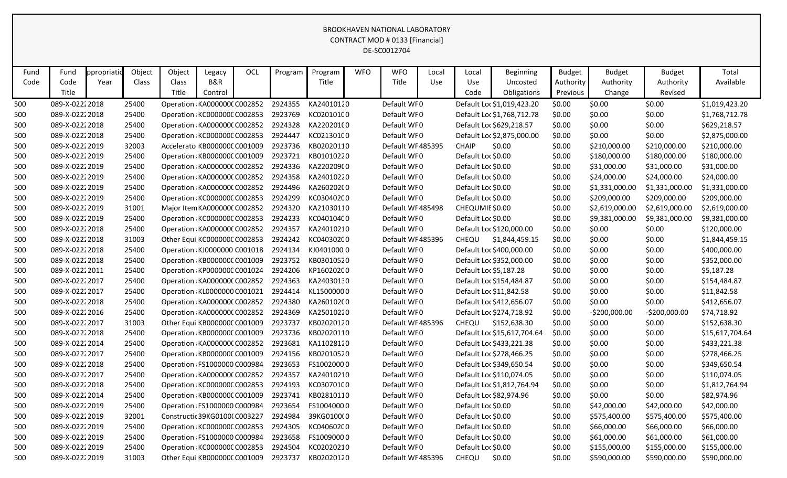| Fund | Fund            | ppropriatio | Object | Object | Legacy                       | OCL | Program | Program    | <b>WFO</b> | <b>WFO</b>       | Local | Local              | <b>Beginning</b>            | <b>Budget</b> | <b>Budget</b>  | <b>Budget</b>  | Total           |
|------|-----------------|-------------|--------|--------|------------------------------|-----|---------|------------|------------|------------------|-------|--------------------|-----------------------------|---------------|----------------|----------------|-----------------|
| Code | Code            | Year        | Class  | Class  | <b>B&amp;R</b>               |     |         | Title      |            | Title            | Use   | <b>Use</b>         | Uncosted                    | Authority     | Authority      | Authority      | Available       |
|      | Title           |             |        | Title  | Control                      |     |         |            |            |                  |       | Code               | Obligations                 | Previous      | Change         | Revised        |                 |
| 500  | 089-X-02222018  |             | 25400  |        | Operation KA000000CC002852   |     | 2924355 | KA24010120 |            | Default WF0      |       |                    | Default Loc \$1,019,423.20  | \$0.00        | \$0.00         | \$0.00         | \$1,019,423.20  |
| 500  | 089-X-02222018  |             | 25400  |        | Operation KC000000C C002853  |     | 2923769 | KC020101C0 |            | Default WF0      |       |                    | Default Loc \$1,768,712.78  | \$0.00        | \$0.00         | \$0.00         | \$1,768,712.78  |
| 500  | 089-X-02222018  |             | 25400  |        | Operation KA0000000 C002852  |     | 2924328 | KA220201(0 |            | Default WF0      |       |                    | Default Loc \$629,218.57    | \$0.00        | \$0.00         | \$0.00         | \$629,218.57    |
| 500  | 089-X-02222018  |             | 25400  |        | Operation KC000000C C002853  |     | 2924447 | KC021301C0 |            | Default WF0      |       |                    | Default Loc \$2,875,000.00  | \$0.00        | \$0.00         | \$0.00         | \$2,875,000.00  |
| 500  | 089-X-02222019  |             | 32003  |        | Accelerato KB000000C C001009 |     | 2923736 | KB02020110 |            | Default WF485395 |       | <b>CHAIP</b>       | \$0.00                      | \$0.00        | \$210,000.00   | \$210,000.00   | \$210,000.00    |
| 500  | 089-X-02222019  |             | 25400  |        | Operation KB000000C C001009  |     | 2923721 | KB01010220 |            | Default WF0      |       | Default Loc \$0.00 |                             | \$0.00        | \$180,000.00   | \$180,000.00   | \$180,000.00    |
| 500  | 089-X-02222019  |             | 25400  |        | Operation KA0000000 C002852  |     | 2924336 | KA220209(0 |            | Default WF0      |       | Default Loc \$0.00 |                             | \$0.00        | \$31,000.00    | \$31,000.00    | \$31,000.00     |
| 500  | 089-X-02222019  |             | 25400  |        | Operation KA0000000 C002852  |     | 2924358 | KA24010220 |            | Default WF0      |       | Default Loc \$0.00 |                             | \$0.00        | \$24,000.00    | \$24,000.00    | \$24,000.00     |
| 500  | 089-X-02222019  |             | 25400  |        | Operation KA0000000 C002852  |     | 2924496 | KA260202(0 |            | Default WF0      |       | Default Loc \$0.00 |                             | \$0.00        | \$1,331,000.00 | \$1,331,000.00 | \$1,331,000.00  |
| 500  | 089-X-02222019  |             | 25400  |        | Operation KC000000C C002853  |     | 2924299 | KC030402C0 |            | Default WF0      |       | Default Loc \$0.00 |                             | \$0.00        | \$209,000.00   | \$209,000.00   | \$209,000.00    |
| 500  | 089-X-02222019  |             | 31001  |        | Major Item KA0000000 C002852 |     | 2924320 | KA21030110 |            | Default WF485498 |       | CHEQUMIE \$0.00    |                             | \$0.00        | \$2,619,000.00 | \$2,619,000.00 | \$2,619,000.00  |
| 500  | 089-X-02222019  |             | 25400  |        | Operation KC000000C C002853  |     | 2924233 | KC04010400 |            | Default WF0      |       | Default Loc \$0.00 |                             | \$0.00        | \$9,381,000.00 | \$9,381,000.00 | \$9,381,000.00  |
| 500  | 089-X-02222018  |             | 25400  |        | Operation KA0000000 C002852  |     | 2924357 | KA24010210 |            | Default WF0      |       |                    | Default Loc \$120,000.00    | \$0.00        | \$0.00         | \$0.00         | \$120,000.00    |
| 500  | 089-X-02222018  |             | 31003  |        | Other Equi KC000000C C002853 |     | 2924242 | KC040302C0 |            | Default WF485396 |       | <b>CHEQU</b>       | \$1,844,459.15              | \$0.00        | \$0.00         | \$0.00         | \$1,844,459.15  |
| 500  | 089-X-02222018  |             | 25400  |        | Operation KJ0000000 C001018  |     | 2924134 | KJ04010000 |            | Default WF0      |       |                    | Default Loc \$400,000.00    | \$0.00        | \$0.00         | \$0.00         | \$400,000.00    |
| 500  | 089-X-02222018  |             | 25400  |        | Operation KB000000C C001009  |     | 2923752 | KB03010520 |            | Default WF0      |       |                    | Default Loc \$352,000.00    | \$0.00        | \$0.00         | \$0.00         | \$352,000.00    |
| 500  | 089-X-02222011  |             | 25400  |        | Operation KP000000C C001024  |     | 2924206 | KP160202C0 |            | Default WF0      |       |                    | Default Loc \$5,187.28      | \$0.00        | \$0.00         | \$0.00         | \$5,187.28      |
| 500  | 089-X-02222017  |             | 25400  |        | Operation KA0000000 C002852  |     | 2924363 | KA24030130 |            | Default WF0      |       |                    | Default Loc \$154,484.87    | \$0.00        | \$0.00         | \$0.00         | \$154,484.87    |
| 500  | 089-X-02222017  |             | 25400  |        | Operation KL0000000 C001021  |     | 2924414 | KL15000000 |            | Default WF0      |       |                    | Default Loc \$11,842.58     | \$0.00        | \$0.00         | \$0.00         | \$11,842.58     |
| 500  | 089-X-02222018  |             | 25400  |        | Operation KA0000000 C002852  |     | 2924380 | KA260102(0 |            | Default WF0      |       |                    | Default Loc \$412,656.07    | \$0.00        | \$0.00         | \$0.00         | \$412,656.07    |
| 500  | 089-X-02222016  |             | 25400  |        | Operation KA0000000 C002852  |     | 2924369 | KA25010220 |            | Default WF0      |       |                    | Default Loc \$274,718.92    | \$0.00        | $-5200,000.00$ | $-5200,000.00$ | \$74,718.92     |
| 500  | 089-X-02222017  |             | 31003  |        | Other Equi KB000000C C001009 |     | 2923737 | KB02020120 |            | Default WF485396 |       | <b>CHEQU</b>       | \$152,638.30                | \$0.00        | \$0.00         | \$0.00         | \$152,638.30    |
| 500  | 089-X-02222018  |             | 25400  |        | Operation KB000000C C001009  |     | 2923736 | KB02020110 |            | Default WF0      |       |                    | Default Loc \$15,617,704.64 | \$0.00        | \$0.00         | \$0.00         | \$15,617,704.64 |
| 500  | 089-X-02222014  |             | 25400  |        | Operation KA0000000 C002852  |     | 2923681 | KA11028120 |            | Default WF0      |       |                    | Default Loc \$433,221.38    | \$0.00        | \$0.00         | \$0.00         | \$433,221.38    |
| 500  | 089-X-02222017  |             | 25400  |        | Operation KB000000C C001009  |     | 2924156 | KB02010520 |            | Default WF0      |       |                    | Default Loc \$278,466.25    | \$0.00        | \$0.00         | \$0.00         | \$278,466.25    |
| 500  | 089-X-02222018  |             | 25400  |        | Operation FS1000000 C000984  |     | 2923653 | FS10020000 |            | Default WF0      |       |                    | Default Loc \$349,650.54    | \$0.00        | \$0.00         | \$0.00         | \$349,650.54    |
| 500  | 089-X-02222017  |             | 25400  |        | Operation KA0000000 C002852  |     | 2924357 | KA24010210 |            | Default WF0      |       |                    | Default Loc \$110,074.05    | \$0.00        | \$0.00         | \$0.00         | \$110,074.05    |
| 500  | 089-X-02222018  |             | 25400  |        | Operation KC000000C C002853  |     | 2924193 | KC03070100 |            | Default WF0      |       |                    | Default Loc \$1,812,764.94  | \$0.00        | \$0.00         | \$0.00         | \$1,812,764.94  |
| 500  | 089-X-02222014  |             | 25400  |        | Operation KB000000C C001009  |     | 2923741 | KB02810110 |            | Default WF0      |       |                    | Default Loc \$82,974.96     | \$0.00        | \$0.00         | \$0.00         | \$82,974.96     |
| 500  | 089-X-02222019  |             | 25400  |        | Operation FS1000000 C000984  |     | 2923654 | FS10040000 |            | Default WF0      |       | Default Loc \$0.00 |                             | \$0.00        | \$42,000.00    | \$42,000.00    | \$42,000.00     |
| 500  | 089-X-02222019  |             | 32001  |        | Constructic 39KG0100(C003227 |     | 2924984 | 39KG0100(0 |            | Default WF0      |       | Default Loc \$0.00 |                             | \$0.00        | \$575,400.00   | \$575,400.00   | \$575,400.00    |
| 500  | 089-X-02222019  |             | 25400  |        | Operation KC000000C C002853  |     | 2924305 | KC040602C0 |            | Default WF0      |       | Default Loc \$0.00 |                             | \$0.00        | \$66,000.00    | \$66,000.00    | \$66,000.00     |
| 500  | 089-X-02222019  |             | 25400  |        | Operation FS1000000 C000984  |     | 2923658 | FS10090000 |            | Default WF0      |       | Default Loc \$0.00 |                             | \$0.00        | \$61,000.00    | \$61,000.00    | \$61,000.00     |
| 500  | 089-X-0222 2019 |             | 25400  |        | Operation KC000000C C002853  |     | 2924504 | KC02020210 |            | Default WF0      |       | Default Loc \$0.00 |                             | \$0.00        | \$155,000.00   | \$155,000.00   | \$155,000.00    |
| 500  | 089-X-02222019  |             | 31003  |        | Other Equi KB000000C C001009 |     | 2923737 | KB02020120 |            | Default WF485396 |       | CHEQU              | \$0.00                      | \$0.00        | \$590,000.00   | \$590,000.00   | \$590,000.00    |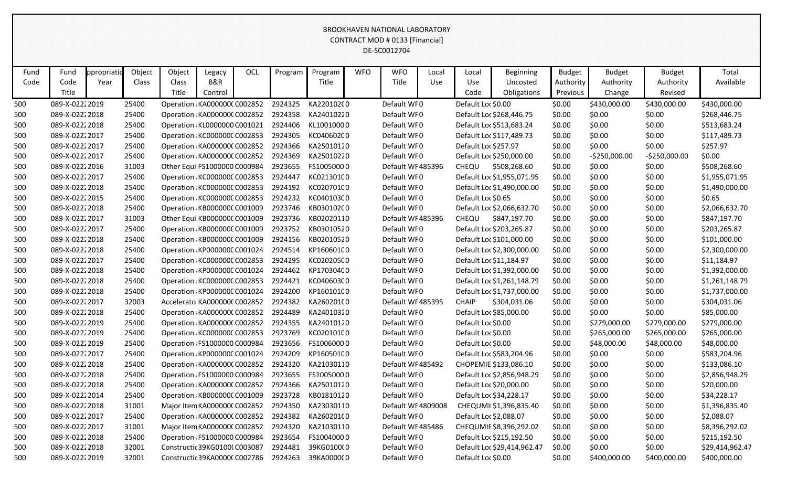| Fund | Fund           | ppropriati | Object | Object | Legacy                                | OCL | Program | Program    | <b>WFO</b> | <b>WFO</b>         | Local | Local                | Beginning                   | <b>Budget</b> | <b>Budget</b>  | <b>Budget</b>  | Total           |
|------|----------------|------------|--------|--------|---------------------------------------|-----|---------|------------|------------|--------------------|-------|----------------------|-----------------------------|---------------|----------------|----------------|-----------------|
| Code | Code           | Year       | Class  | Class  | B&R                                   |     |         | Title      |            | Title              | Use   | Use                  | Uncosted                    | Authority     | Authority      | Authority      | Available       |
|      | Title          |            |        | Title  | Control                               |     |         |            |            |                    |       | Code                 | Obligations                 | Previous      | Change         | Revised        |                 |
| 500  | 089-X-02222019 |            | 25400  |        | Operation KA0000000 C002852           |     | 2924325 | KA220102(0 |            | Default WF0        |       | Default Loc \$0.00   |                             | \$0.00        | \$430,000.00   | \$430,000.00   | \$430,000.00    |
| 500  | 089-X-02222018 |            | 25400  |        | Operation KA0000000 C002852           |     | 2924358 | KA24010220 |            | Default WF0        |       |                      | Default Loc \$268,446.75    | \$0.00        | \$0.00         | \$0.00         | \$268,446.75    |
| 500  | 089-X-02222018 |            | 25400  |        | Operation KL0000000 C001021           |     | 2924406 | KL10010000 |            | Default WF0        |       |                      | Default Loc \$513,683.24    | \$0.00        | \$0.00         | \$0.00         | \$513,683.24    |
| 500  | 089-X-02222017 |            | 25400  |        | Operation KC000000C C002853           |     | 2924305 | KC040602C0 |            | Default WF0        |       |                      | Default Loc \$117,489.73    | \$0.00        | \$0.00         | \$0.00         | \$117,489.73    |
| 500  | 089-X-02222017 |            | 25400  |        | Operation KA0000000 C002852           |     | 2924366 | KA25010120 |            | Default WF0        |       | Default Loc \$257.97 |                             | \$0.00        | \$0.00         | \$0.00         | \$257.97        |
| 500  | 089-X-02222017 |            | 25400  |        | Operation KA0000000 C002852           |     | 2924369 | KA25010220 |            | Default WF0        |       |                      | Default Loc \$250,000.00    | \$0.00        | $-5250,000.00$ | $-5250,000.00$ | \$0.00          |
| 500  | 089-X-02222016 |            | 31003  |        | Other Equi FS1000000 C000984          |     | 2923655 | FS10050000 |            | Default WF485396   |       | <b>CHEQU</b>         | \$508,268.60                | \$0.00        | \$0.00         | \$0.00         | \$508,268.60    |
| 500  | 089-X-02222017 |            | 25400  |        | Operation KC000000C C002853           |     | 2924447 | KC021301C0 |            | Default WF0        |       |                      | Default Loc \$1,955,071.95  | \$0.00        | \$0.00         | \$0.00         | \$1,955,071.95  |
| 500  | 089-X-02222018 |            | 25400  |        | Operation KC000000C C002853           |     | 2924192 | KC02070100 |            | Default WF0        |       |                      | Default Loc \$1,490,000.00  | \$0.00        | \$0.00         | \$0.00         | \$1,490,000.00  |
| 500  | 089-X-02222015 |            | 25400  |        | Operation KC000000C C002853           |     | 2924232 | KC04010300 |            | Default WF0        |       | Default Loc \$0.65   |                             | \$0.00        | \$0.00         | \$0.00         | \$0.65          |
| 500  | 089-X-02222018 |            | 25400  |        | Operation KB000000C C001009           |     | 2923746 | KB030102C0 |            | Default WF0        |       |                      | Default Loc \$2,066,632.70  | \$0.00        | \$0.00         | \$0.00         | \$2,066,632.70  |
| 500  | 089-X-02222017 |            | 31003  |        | Other Equi KB000000C C001009          |     | 2923736 | KB02020110 |            | Default WF485396   |       | <b>CHEQU</b>         | \$847,197.70                | \$0.00        | \$0.00         | \$0.00         | \$847,197.70    |
| 500  | 089-X-02222017 |            | 25400  |        | Operation KB000000C C001009           |     | 2923752 | KB03010520 |            | Default WF0        |       |                      | Default Loc \$203,265.87    | \$0.00        | \$0.00         | \$0.00         | \$203,265.87    |
| 500  | 089-X-02222018 |            | 25400  |        | Operation KB000000C C001009           |     | 2924156 | KB02010520 |            | Default WF0        |       |                      | Default Loc \$101,000.00    | \$0.00        | \$0.00         | \$0.00         | \$101,000.00    |
| 500  | 089-X-02222018 |            | 25400  |        | Operation KP000000C C001024           |     | 2924514 | KP160601C0 |            | Default WF0        |       |                      | Default Loc \$2,300,000.00  | \$0.00        | \$0.00         | \$0.00         | \$2,300,000.00  |
| 500  | 089-X-02222017 |            | 25400  |        | Operation KC000000C C002853           |     | 2924295 | KC020205C0 |            | Default WF0        |       |                      | Default Loc \$11,184.97     | \$0.00        | \$0.00         | \$0.00         | \$11,184.97     |
| 500  | 089-X-02222018 |            | 25400  |        | Operation KP000000C C001024           |     | 2924462 | KP170304C0 |            | Default WF0        |       |                      | Default Loc \$1,392,000.00  | \$0.00        | \$0.00         | \$0.00         | \$1,392,000.00  |
| 500  | 089-X-02222018 |            | 25400  |        | Operation KC000000C C002853           |     | 2924421 | KC040603C0 |            | Default WF0        |       |                      | Default Loc \$1,261,148.79  | \$0.00        | \$0.00         | \$0.00         | \$1,261,148.79  |
| 500  | 089-X-02222018 |            | 25400  |        | Operation KP000000C C001024           |     | 2924200 | KP160101C0 |            | Default WF0        |       |                      | Default Loc \$1,737,000.00  | \$0.00        | \$0.00         | \$0.00         | \$1,737,000.00  |
| 500  | 089-X-02222017 |            | 32003  |        | Accelerato KA0000000 C002852          |     | 2924382 | KA260201(0 |            | Default WF485395   |       | <b>CHAIP</b>         | \$304,031.06                | \$0.00        | \$0.00         | \$0.00         | \$304,031.06    |
| 500  | 089-X-02222018 |            | 25400  |        | Operation KA0000000 C002852           |     | 2924489 | KA24010320 |            | Default WF0        |       |                      | Default Loc \$85,000.00     | \$0.00        | \$0.00         | \$0.00         | \$85,000.00     |
| 500  | 089-X-02222019 |            | 25400  |        | Operation KA0000000 C002852           |     | 2924355 | KA24010120 |            | Default WF0        |       | Default Loc \$0.00   |                             | \$0.00        | \$279,000.00   | \$279,000.00   | \$279,000.00    |
| 500  | 089-X-02222019 |            | 25400  |        | Operation KC000000C C002853           |     | 2923769 | KC02010100 |            | Default WF0        |       | Default Loc \$0.00   |                             | \$0.00        | \$265,000.00   | \$265,000.00   | \$265,000.00    |
| 500  | 089-X-02222019 |            | 25400  |        | Operation FS1000000 C000984           |     | 2923656 | FS10060000 |            | Default WF0        |       | Default Loc \$0.00   |                             | \$0.00        | \$48,000.00    | \$48,000.00    | \$48,000.00     |
| 500  | 089-X-02222017 |            | 25400  |        | Operation KP000000C C001024           |     | 2924209 | KP160501C0 |            | Default WF0        |       |                      | Default Loc \$583,204.96    | \$0.00        | \$0.00         | \$0.00         | \$583,204.96    |
| 500  | 089-X-02222018 |            | 25400  |        | Operation KA0000000 C002852           |     | 2924320 | KA21030110 |            | Default WF485492   |       |                      | CHOPEMIE \$133,086.10       | \$0.00        | \$0.00         | \$0.00         | \$133,086.10    |
| 500  | 089-X-02222018 |            | 25400  |        | Operation FS1000000 C000984           |     | 2923655 | FS10050000 |            | Default WF0        |       |                      | Default Loc \$2,856,948.29  | \$0.00        | \$0.00         | \$0.00         | \$2,856,948.29  |
| 500  | 089-X-02222018 |            | 25400  |        | Operation KA0000000 C002852 2924366   |     |         | KA25010120 |            | Default WF0        |       |                      | Default Loc \$20,000.00     | \$0.00        | \$0.00         | \$0.00         | \$20,000.00     |
| 500  | 089-X-02222014 |            | 25400  |        | Operation KB000000C C001009           |     | 2923728 | KB01810120 |            | Default WF0        |       |                      | Default Loc \$34,228.17     | \$0.00        | \$0.00         | \$0.00         | \$34,228.17     |
| 500  | 089-X-02222018 |            | 31001  |        | Major Item KA0000000 C002852 2924350  |     |         | KA23030110 |            | Default WF 4809008 |       |                      | CHEQUMII\$1,396,835.40      | \$0.00        | \$0.00         | \$0.00         | \$1,396,835.40  |
| 500  | 089-X-02222017 |            | 25400  |        | Operation KA0000000 C002852 2924382   |     |         | KA260201(0 |            | Default WF0        |       |                      | Default Loc \$2,088.07      | \$0.00        | \$0.00         | \$0.00         | \$2,088.07      |
| 500  | 089-X-02222017 |            | 31001  |        | Major Item KA0000000 C002852          |     | 2924320 | KA21030110 |            | Default WF485486   |       |                      | CHEQUMIE \$8,396,292.02     | \$0.00        | \$0.00         | \$0.00         | \$8,396,292.02  |
| 500  | 089-X-02222018 |            | 25400  |        | Operation FS1000000 C000984           |     | 2923654 | FS10040000 |            | Default WF0        |       |                      | Default Loc \$215,192.50    | \$0.00        | \$0.00         | \$0.00         | \$215,192.50    |
| 500  | 089-X-02222018 |            | 32001  |        | Constructic 39KG0100(C003087          |     | 2924481 | 39KG0100(0 |            | Default WF0        |       |                      | Default Loc \$29,414,962.47 | \$0.00        | \$0.00         | \$0.00         | \$29,414,962.47 |
| 500  | 089-X-02222019 |            | 32001  |        | Constructic 39KA00000 C002786 2924263 |     |         | 39KA000000 |            | Default WF0        |       | Default Loc \$0.00   |                             | \$0.00        | \$400,000.00   | \$400,000.00   | \$400,000.00    |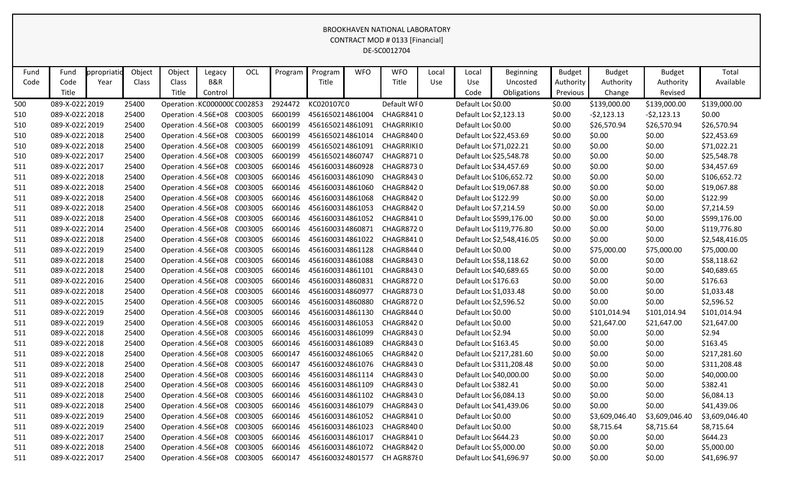| Fund | Fund            | ppropriatio | Object | Object | Legacy                      | OCL                                | Program | Program          | <b>WFO</b> | <b>WFO</b>        | Local | Local                  | <b>Beginning</b>           | <b>Budget</b> | <b>Budget</b>  | <b>Budget</b>  | Total          |
|------|-----------------|-------------|--------|--------|-----------------------------|------------------------------------|---------|------------------|------------|-------------------|-------|------------------------|----------------------------|---------------|----------------|----------------|----------------|
| Code | Code            | Year        | Class  | Class  | B&R                         |                                    |         | Title            |            | Title             | Use   | Use                    | Uncosted                   | Authority     | Authority      | Authority      | Available      |
|      | Title           |             |        | Title  | Control                     |                                    |         |                  |            |                   |       | Code                   | Obligations                | Previous      | Change         | Revised        |                |
| 500  | 089-X-0222 2019 |             | 25400  |        | Operation KC000000C C002853 |                                    | 2924472 | KC02010700       |            | Default WF0       |       | Default Loc \$0.00     |                            | \$0.00        | \$139,000.00   | \$139,000.00   | \$139,000.00   |
| 510  | 089-X-02222018  |             | 25400  |        | Operation: 4.56E+08 C003005 |                                    | 6600199 | 4561650214861004 |            | CHAGR8410         |       | Default Loc \$2,123.13 |                            | \$0.00        | $-52,123.13$   | $-52,123.13$   | \$0.00         |
| 510  | 089-X-02222019  |             | 25400  |        | Operation 4.56E+08          | C003005                            | 6600199 | 4561650214861091 |            | <b>CHAGRRIKIO</b> |       | Default Loc \$0.00     |                            | \$0.00        | \$26,570.94    | \$26,570.94    | \$26,570.94    |
| 510  | 089-X-02222018  |             | 25400  |        | Operation 4.56E+08          | C003005                            | 6600199 | 4561650214861014 |            | CHAGR8400         |       |                        | Default Loc \$22,453.69    | \$0.00        | \$0.00         | \$0.00         | \$22,453.69    |
| 510  | 089-X-02222018  |             | 25400  |        | Operation 4.56E+08          | C003005                            | 6600199 | 4561650214861091 |            | <b>CHAGRRIKIO</b> |       |                        | Default Loc \$71,022.21    | \$0.00        | \$0.00         | \$0.00         | \$71,022.21    |
| 510  | 089-X-02222017  |             | 25400  |        | Operation 4.56E+08          | C003005                            | 6600199 | 4561650214860747 |            | CHAGR8710         |       |                        | Default Loc \$25,548.78    | \$0.00        | \$0.00         | \$0.00         | \$25,548.78    |
| 511  | 089-X-02222017  |             | 25400  |        | Operation 4.56E+08          | C003005                            | 6600146 | 4561600314860928 |            | CHAGR8730         |       |                        | Default Loc \$34,457.69    | \$0.00        | \$0.00         | \$0.00         | \$34,457.69    |
| 511  | 089-X-02222018  |             | 25400  |        | Operation 4.56E+08          | C003005                            | 6600146 | 4561600314861090 |            | CHAGR8430         |       |                        | Default Loc \$106,652.72   | \$0.00        | \$0.00         | \$0.00         | \$106,652.72   |
| 511  | 089-X-02222018  |             | 25400  |        | Operation 4.56E+08          | C003005                            | 6600146 | 4561600314861060 |            | CHAGR8420         |       |                        | Default Loc \$19,067.88    | \$0.00        | \$0.00         | \$0.00         | \$19,067.88    |
| 511  | 089-X-02222018  |             | 25400  |        | Operation 4.56E+08          | C003005                            | 6600146 | 4561600314861068 |            | CHAGR8420         |       | Default Loc \$122.99   |                            | \$0.00        | \$0.00         | \$0.00         | \$122.99       |
| 511  | 089-X-02222018  |             | 25400  |        | Operation 4.56E+08          | C003005                            | 6600146 | 4561600314861053 |            | CHAGR8420         |       | Default Loc \$7,214.59 |                            | \$0.00        | \$0.00         | \$0.00         | \$7,214.59     |
| 511  | 089-X-02222018  |             | 25400  |        | Operation 4.56E+08          | C003005                            | 6600146 | 4561600314861052 |            | CHAGR8410         |       |                        | Default Loc \$599,176.00   | \$0.00        | \$0.00         | \$0.00         | \$599,176.00   |
| 511  | 089-X-02222014  |             | 25400  |        | Operation 4.56E+08          | C003005                            | 6600146 | 4561600314860871 |            | CHAGR8720         |       |                        | Default Loc \$119,776.80   | \$0.00        | \$0.00         | \$0.00         | \$119,776.80   |
| 511  | 089-X-02222018  |             | 25400  |        | Operation 4.56E+08          | C003005                            | 6600146 | 4561600314861022 |            | CHAGR8410         |       |                        | Default Loc \$2,548,416.05 | \$0.00        | \$0.00         | \$0.00         | \$2,548,416.05 |
| 511  | 089-X-02222019  |             | 25400  |        | Operation 4.56E+08          | C003005                            | 6600146 | 4561600314861128 |            | CHAGR8440         |       | Default Loc \$0.00     |                            | \$0.00        | \$75,000.00    | \$75,000.00    | \$75,000.00    |
| 511  | 089-X-02222018  |             | 25400  |        | Operation 4.56E+08          | C003005                            | 6600146 | 4561600314861088 |            | CHAGR8430         |       |                        | Default Loc \$58,118.62    | \$0.00        | \$0.00         | \$0.00         | \$58,118.62    |
| 511  | 089-X-02222018  |             | 25400  |        | Operation 4.56E+08          | C003005                            | 6600146 | 4561600314861101 |            | CHAGR8430         |       |                        | Default Loc \$40,689.65    | \$0.00        | \$0.00         | \$0.00         | \$40,689.65    |
| 511  | 089-X-02222016  |             | 25400  |        | Operation 4.56E+08          | C003005                            | 6600146 | 4561600314860831 |            | CHAGR8720         |       | Default Loc \$176.63   |                            | \$0.00        | \$0.00         | \$0.00         | \$176.63       |
| 511  | 089-X-02222018  |             | 25400  |        | Operation 4.56E+08          | C003005                            | 6600146 | 4561600314860977 |            | <b>CHAGR8730</b>  |       | Default Loc \$1,033.48 |                            | \$0.00        | \$0.00         | \$0.00         | \$1,033.48     |
| 511  | 089-X-02222015  |             | 25400  |        | Operation 4.56E+08          | C003005                            | 6600146 | 4561600314860880 |            | CHAGR8720         |       | Default Loc \$2,596.52 |                            | \$0.00        | \$0.00         | \$0.00         | \$2,596.52     |
| 511  | 089-X-02222019  |             | 25400  |        | Operation 4.56E+08          | C003005                            | 6600146 | 4561600314861130 |            | CHAGR8440         |       | Default Loc \$0.00     |                            | \$0.00        | \$101,014.94   | \$101,014.94   | \$101,014.94   |
| 511  | 089-X-02222019  |             | 25400  |        | Operation 4.56E+08          | C003005                            | 6600146 | 4561600314861053 |            | CHAGR8420         |       | Default Loc \$0.00     |                            | \$0.00        | \$21,647.00    | \$21,647.00    | \$21,647.00    |
| 511  | 089-X-02222018  |             | 25400  |        | Operation 4.56E+08          | C003005                            | 6600146 | 4561600314861099 |            | CHAGR8430         |       | Default Loc \$2.94     |                            | \$0.00        | \$0.00         | \$0.00         | \$2.94         |
| 511  | 089-X-02222018  |             | 25400  |        | Operation 4.56E+08          | C003005                            | 6600146 | 4561600314861089 |            | CHAGR8430         |       | Default Loc \$163.45   |                            | \$0.00        | \$0.00         | \$0.00         | \$163.45       |
| 511  | 089-X-02222018  |             | 25400  |        | Operation 4.56E+08          | C003005                            | 6600147 | 4561600324861065 |            | CHAGR8420         |       |                        | Default Loc \$217,281.60   | \$0.00        | \$0.00         | \$0.00         | \$217,281.60   |
| 511  | 089-X-02222018  |             | 25400  |        | Operation 4.56E+08          | C003005                            | 6600147 | 4561600324861076 |            | CHAGR8430         |       |                        | Default Loc \$311,208.48   | \$0.00        | \$0.00         | \$0.00         | \$311,208.48   |
| 511  | 089-X-02222018  |             | 25400  |        | Operation 4.56E+08          | C003005                            | 6600146 | 4561600314861114 |            | CHAGR8430         |       |                        | Default Loc \$40,000.00    | \$0.00        | \$0.00         | \$0.00         | \$40,000.00    |
| 511  | 089-X-02222018  |             | 25400  |        | Operation 4.56E+08          | C003005                            | 6600146 | 4561600314861109 |            | CHAGR8430         |       | Default Loc \$382.41   |                            | \$0.00        | \$0.00         | \$0.00         | \$382.41       |
| 511  | 089-X-02222018  |             | 25400  |        | Operation: 4.56E+08 C003005 |                                    | 6600146 | 4561600314861102 |            | CHAGR8430         |       | Default Loc \$6,084.13 |                            | \$0.00        | \$0.00         | \$0.00         | \$6,084.13     |
| 511  | 089-X-02222018  |             | 25400  |        | Operation: 4.56E+08 C003005 |                                    | 6600146 | 4561600314861079 |            | CHAGR8430         |       |                        | Default Loc \$41,439.06    | \$0.00        | \$0.00         | \$0.00         | \$41,439.06    |
| 511  | 089-X-02222019  |             | 25400  |        |                             | Operation 4.56E+08 C003005         | 6600146 | 4561600314861052 |            | CHAGR8410         |       | Default Loc \$0.00     |                            | \$0.00        | \$3,609,046.40 | \$3,609,046.40 | \$3,609,046.40 |
| 511  | 089-X-02222019  |             | 25400  |        | Operation: 4.56E+08 C003005 |                                    | 6600146 | 4561600314861023 |            | CHAGR8400         |       | Default Loc \$0.00     |                            | \$0.00        | \$8,715.64     | \$8,715.64     | \$8,715.64     |
| 511  | 089-X-02222017  |             | 25400  |        | Operation 4.56E+08 C003005  |                                    | 6600146 | 4561600314861017 |            | CHAGR8410         |       | Default Loc \$644.23   |                            | \$0.00        | \$0.00         | \$0.00         | \$644.23       |
| 511  | 089-X-02222018  |             | 25400  |        | Operation: 4.56E+08 C003005 |                                    | 6600146 | 4561600314861072 |            | CHAGR8420         |       | Default Loc \$5,000.00 |                            | \$0.00        | \$0.00         | \$0.00         | \$5,000.00     |
| 511  | 089-X-02222017  |             | 25400  |        |                             | Operation 4.56E+08 C003005 6600147 |         | 4561600324801577 |            | CH AGR8780        |       |                        | Default Loc \$41,696.97    | \$0.00        | \$0.00         | \$0.00         | \$41,696.97    |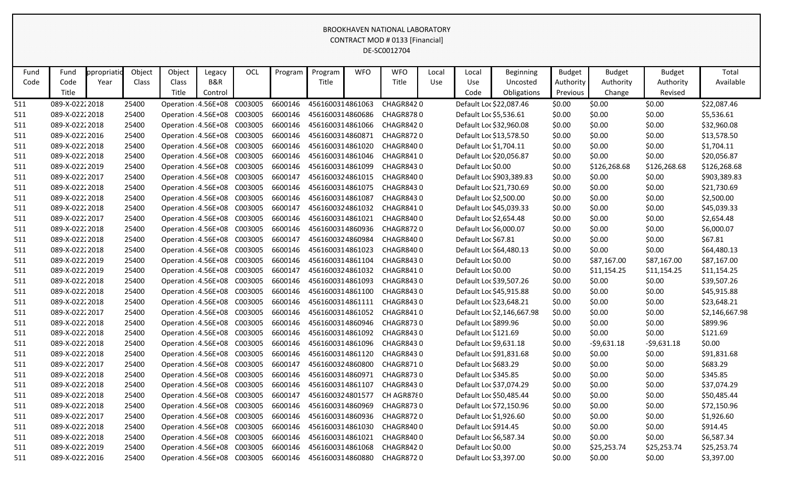| Fund | Fund           | ppropriatio | Object | Object | Legacy                      | OCL                                | Program | Program          | <b>WFO</b> | <b>WFO</b>       | Local | Local                  | <b>Beginning</b>           | <b>Budget</b> | <b>Budget</b> | <b>Budget</b> | Total          |
|------|----------------|-------------|--------|--------|-----------------------------|------------------------------------|---------|------------------|------------|------------------|-------|------------------------|----------------------------|---------------|---------------|---------------|----------------|
| Code | Code           | Year        | Class  | Class  | B&R                         |                                    |         | Title            |            | Title            | Use   | Use                    | Uncosted                   | Authority     | Authority     | Authority     | Available      |
|      | Title          |             |        | Title  | Control                     |                                    |         |                  |            |                  |       | Code                   | Obligations                | Previous      | Change        | Revised       |                |
| 511  | 089-X-02222018 |             | 25400  |        | Operation 4.56E+08          | C003005                            | 6600146 | 4561600314861063 |            | CHAGR8420        |       |                        | Default Loc \$22,087.46    | \$0.00        | \$0.00        | \$0.00        | \$22,087.46    |
| 511  | 089-X-02222018 |             | 25400  |        | Operation 4.56E+08          | C003005                            | 6600146 | 4561600314860686 |            | CHAGR8780        |       | Default Loc \$5,536.61 |                            | \$0.00        | \$0.00        | \$0.00        | \$5,536.61     |
| 511  | 089-X-02222018 |             | 25400  |        | Operation 4.56E+08          | C003005                            | 6600146 | 4561600314861066 |            | CHAGR8420        |       |                        | Default Loc \$32,960.08    | \$0.00        | \$0.00        | \$0.00        | \$32,960.08    |
| 511  | 089-X-02222016 |             | 25400  |        | Operation 4.56E+08          | C003005                            | 6600146 | 4561600314860871 |            | CHAGR8720        |       |                        | Default Loc \$13,578.50    | \$0.00        | \$0.00        | \$0.00        | \$13,578.50    |
| 511  | 089-X-02222018 |             | 25400  |        | Operation 4.56E+08          | C003005                            | 6600146 | 4561600314861020 |            | CHAGR8400        |       | Default Loc \$1,704.11 |                            | \$0.00        | \$0.00        | \$0.00        | \$1,704.11     |
| 511  | 089-X-02222018 |             | 25400  |        | Operation 4.56E+08          | C003005                            | 6600146 | 4561600314861046 |            | CHAGR8410        |       |                        | Default Loc \$20,056.87    | \$0.00        | \$0.00        | \$0.00        | \$20,056.87    |
| 511  | 089-X-02222019 |             | 25400  |        | Operation 4.56E+08          | C003005                            | 6600146 | 4561600314861099 |            | CHAGR8430        |       | Default Loc \$0.00     |                            | \$0.00        | \$126,268.68  | \$126,268.68  | \$126,268.68   |
| 511  | 089-X-02222017 |             | 25400  |        | Operation 4.56E+08          | C003005                            | 6600147 | 4561600324861015 |            | CHAGR8400        |       |                        | Default Loc \$903,389.83   | \$0.00        | \$0.00        | \$0.00        | \$903,389.83   |
| 511  | 089-X-02222018 |             | 25400  |        | Operation 4.56E+08          | C003005                            | 6600146 | 4561600314861075 |            | <b>CHAGR8430</b> |       |                        | Default Loc \$21,730.69    | \$0.00        | \$0.00        | \$0.00        | \$21,730.69    |
| 511  | 089-X-02222018 |             | 25400  |        | Operation 4.56E+08          | C003005                            | 6600146 | 4561600314861087 |            | CHAGR8430        |       | Default Loc \$2,500.00 |                            | \$0.00        | \$0.00        | \$0.00        | \$2,500.00     |
| 511  | 089-X-02222018 |             | 25400  |        | Operation 4.56E+08          | C003005                            | 6600147 | 4561600324861032 |            | CHAGR8410        |       |                        | Default Loc \$45,039.33    | \$0.00        | \$0.00        | \$0.00        | \$45,039.33    |
| 511  | 089-X-02222017 |             | 25400  |        | Operation 4.56E+08          | C003005                            | 6600146 | 4561600314861021 |            | CHAGR8400        |       | Default Loc \$2,654.48 |                            | \$0.00        | \$0.00        | \$0.00        | \$2,654.48     |
| 511  | 089-X-02222018 |             | 25400  |        | Operation 4.56E+08          | C003005                            | 6600146 | 4561600314860936 |            | CHAGR8720        |       | Default Loc \$6,000.07 |                            | \$0.00        | \$0.00        | \$0.00        | \$6,000.07     |
| 511  | 089-X-02222018 |             | 25400  |        | Operation 4.56E+08          | C003005                            | 6600147 | 4561600324860984 |            | CHAGR8400        |       | Default Loc \$67.81    |                            | \$0.00        | \$0.00        | \$0.00        | \$67.81        |
| 511  | 089-X-02222018 |             | 25400  |        | Operation 4.56E+08          | C003005                            | 6600146 | 4561600314861023 |            | CHAGR8400        |       |                        | Default Loc \$64,480.13    | \$0.00        | \$0.00        | \$0.00        | \$64,480.13    |
| 511  | 089-X-02222019 |             | 25400  |        | Operation 4.56E+08          | C003005                            | 6600146 | 4561600314861104 |            | CHAGR8430        |       | Default Loc \$0.00     |                            | \$0.00        | \$87,167.00   | \$87,167.00   | \$87,167.00    |
| 511  | 089-X-02222019 |             | 25400  |        | Operation 4.56E+08          | C003005                            | 6600147 | 4561600324861032 |            | CHAGR8410        |       | Default Loc \$0.00     |                            | \$0.00        | \$11,154.25   | \$11,154.25   | \$11,154.25    |
| 511  | 089-X-02222018 |             | 25400  |        | Operation 4.56E+08          | C003005                            | 6600146 | 4561600314861093 |            | CHAGR8430        |       |                        | Default Loc \$39,507.26    | \$0.00        | \$0.00        | \$0.00        | \$39,507.26    |
| 511  | 089-X-02222018 |             | 25400  |        | Operation 4.56E+08          | C003005                            | 6600146 | 4561600314861100 |            | CHAGR8430        |       |                        | Default Loc \$45,915.88    | \$0.00        | \$0.00        | \$0.00        | \$45,915.88    |
| 511  | 089-X-02222018 |             | 25400  |        | Operation 4.56E+08          | C003005                            | 6600146 | 4561600314861111 |            | CHAGR8430        |       |                        | Default Loc \$23,648.21    | \$0.00        | \$0.00        | \$0.00        | \$23,648.21    |
| 511  | 089-X-02222017 |             | 25400  |        | Operation 4.56E+08          | C003005                            | 6600146 | 4561600314861052 |            | CHAGR8410        |       |                        | Default Loc \$2,146,667.98 | \$0.00        | \$0.00        | \$0.00        | \$2,146,667.98 |
| 511  | 089-X-02222018 |             | 25400  |        | Operation 4.56E+08          | C003005                            | 6600146 | 4561600314860946 |            | <b>CHAGR8730</b> |       | Default Loc \$899.96   |                            | \$0.00        | \$0.00        | \$0.00        | \$899.96       |
| 511  | 089-X-02222018 |             | 25400  |        | Operation 4.56E+08          | C003005                            | 6600146 | 4561600314861092 |            | CHAGR8430        |       | Default Loc \$121.69   |                            | \$0.00        | \$0.00        | \$0.00        | \$121.69       |
| 511  | 089-X-02222018 |             | 25400  |        | Operation 4.56E+08          | C003005                            | 6600146 | 4561600314861096 |            | CHAGR8430        |       | Default Loc \$9,631.18 |                            | \$0.00        | $-59,631.18$  | $-59,631.18$  | \$0.00         |
| 511  | 089-X-02222018 |             | 25400  |        | Operation 4.56E+08          | C003005                            | 6600146 | 4561600314861120 |            | CHAGR8430        |       |                        | Default Loc \$91,831.68    | \$0.00        | \$0.00        | \$0.00        | \$91,831.68    |
| 511  | 089-X-02222017 |             | 25400  |        | Operation 4.56E+08          | C003005                            | 6600147 | 4561600324860800 |            | CHAGR8710        |       | Default Loc \$683.29   |                            | \$0.00        | \$0.00        | \$0.00        | \$683.29       |
| 511  | 089-X-02222018 |             | 25400  |        | Operation 4.56E+08          | C003005                            | 6600146 | 4561600314860971 |            | <b>CHAGR8730</b> |       | Default Loc \$345.85   |                            | \$0.00        | \$0.00        | \$0.00        | \$345.85       |
| 511  | 089-X-02222018 |             | 25400  |        | Operation 4.56E+08          | C003005                            | 6600146 | 4561600314861107 |            | CHAGR8430        |       |                        | Default Loc \$37,074.29    | \$0.00        | \$0.00        | \$0.00        | \$37,074.29    |
| 511  | 089-X-02222018 |             | 25400  |        | Operation: 4.56E+08 C003005 |                                    | 6600147 | 4561600324801577 |            | CH AGR8780       |       |                        | Default Loc \$50,485.44    | \$0.00        | \$0.00        | \$0.00        | \$50,485.44    |
| 511  | 089-X-02222018 |             | 25400  |        | Operation 4.56E+08 C003005  |                                    | 6600146 | 4561600314860969 |            | CHAGR8730        |       |                        | Default Loc \$72,150.96    | \$0.00        | \$0.00        | \$0.00        | \$72,150.96    |
| 511  | 089-X-02222017 |             | 25400  |        |                             | Operation 4.56E+08 C003005         | 6600146 | 4561600314860936 |            | CHAGR8720        |       | Default Loc \$1,926.60 |                            | \$0.00        | \$0.00        | \$0.00        | \$1,926.60     |
| 511  | 089-X-02222018 |             | 25400  |        | Operation: 4.56E+08 C003005 |                                    | 6600146 | 4561600314861030 |            | CHAGR8400        |       | Default Loc \$914.45   |                            | \$0.00        | \$0.00        | \$0.00        | \$914.45       |
| 511  | 089-X-02222018 |             | 25400  |        | Operation 4.56E+08 C003005  |                                    | 6600146 | 4561600314861021 |            | CHAGR8400        |       | Default Loc \$6,587.34 |                            | \$0.00        | \$0.00        | \$0.00        | \$6,587.34     |
| 511  | 089-X-02222019 |             | 25400  |        | Operation: 4.56E+08 C003005 |                                    | 6600146 | 4561600314861068 |            | CHAGR8420        |       | Default Loc \$0.00     |                            | \$0.00        | \$25,253.74   | \$25,253.74   | \$25,253.74    |
| 511  | 089-X-02222016 |             | 25400  |        |                             | Operation 4.56E+08 C003005 6600146 |         | 4561600314860880 |            | CHAGR8720        |       | Default Loc \$3,397.00 |                            | \$0.00        | \$0.00        | \$0.00        | \$3,397.00     |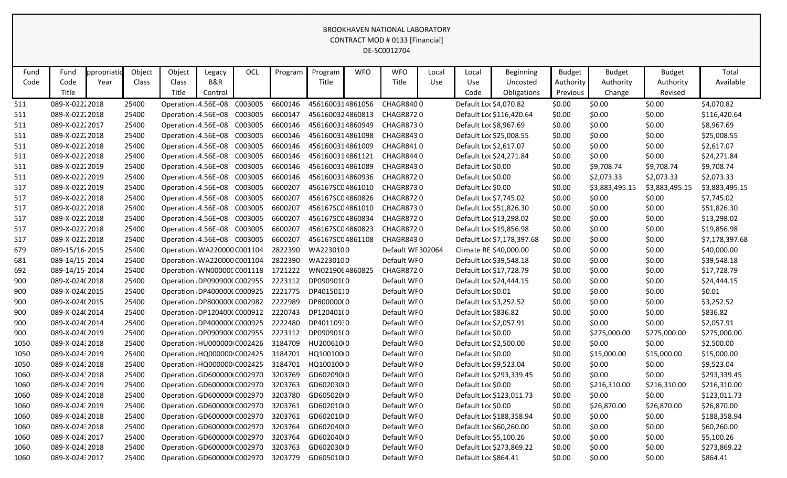| Fund | Fund            | ppropriatic | Object | Object | Legacy                             | OCL     | Program | Program          | <b>WFO</b> | <b>WFO</b>        | Local | Local                   | <b>Beginning</b>           | <b>Budget</b> | <b>Budget</b>  | <b>Budget</b>  | Total          |
|------|-----------------|-------------|--------|--------|------------------------------------|---------|---------|------------------|------------|-------------------|-------|-------------------------|----------------------------|---------------|----------------|----------------|----------------|
| Code | Code            | Year        | Class  | Class  | B&R                                |         |         | Title            |            | Title             | Use   | Use                     | Uncosted                   | Authority     | Authority      | Authority      | Available      |
|      | Title           |             |        | Title  | Control                            |         |         |                  |            |                   |       | Code                    | Obligations                | Previous      | Change         | Revised        |                |
| 511  | 089-X-02222018  |             | 25400  |        | Operation 4.56E+08                 | C003005 | 6600146 | 4561600314861056 |            | CHAGR8400         |       | Default Loc \$4,070.82  |                            | \$0.00        | \$0.00         | \$0.00         | \$4,070.82     |
| 511  | 089-X-02222018  |             | 25400  |        | Operation 4.56E+08                 | C003005 | 6600147 | 4561600324860813 |            | CHAGR8720         |       |                         | Default Loc \$116,420.64   | \$0.00        | \$0.00         | \$0.00         | \$116,420.64   |
| 511  | 089-X-02222017  |             | 25400  |        | Operation 4.56E+08                 | C003005 | 6600146 | 4561600314860949 |            | CHAGR8730         |       | Default Loc \$8,967.69  |                            | \$0.00        | \$0.00         | \$0.00         | \$8,967.69     |
| 511  | 089-X-02222018  |             | 25400  |        | Operation 4.56E+08                 | C003005 | 6600146 | 4561600314861098 |            | CHAGR8430         |       | Default Loc \$25,008.55 |                            | \$0.00        | \$0.00         | \$0.00         | \$25,008.55    |
| 511  | 089-X-02222018  |             | 25400  |        | Operation 4.56E+08                 | C003005 | 6600146 | 4561600314861009 |            | CHAGR8410         |       | Default Loc \$2,617.07  |                            | \$0.00        | \$0.00         | \$0.00         | \$2,617.07     |
| 511  | 089-X-02222018  |             | 25400  |        | Operation 4.56E+08                 | C003005 | 6600146 | 4561600314861121 |            | CHAGR8440         |       |                         | Default Loc \$24,271.84    | \$0.00        | \$0.00         | \$0.00         | \$24,271.84    |
| 511  | 089-X-02222019  |             | 25400  |        | Operation 4.56E+08                 | C003005 | 6600146 | 4561600314861089 |            | CHAGR8430         |       | Default Loc \$0.00      |                            | \$0.00        | \$9,708.74     | \$9,708.74     | \$9,708.74     |
| 511  | 089-X-02222019  |             | 25400  |        | Operation 4.56E+08                 | C003005 | 6600146 | 4561600314860936 |            | CHAGR8720         |       | Default Loc \$0.00      |                            | \$0.00        | \$2,073.33     | \$2,073.33     | \$2,073.33     |
| 517  | 089-X-02222019  |             | 25400  |        | Operation 4.56E+08                 | C003005 | 6600207 | 456167SC04861010 |            | CHAGR8730         |       | Default Loc \$0.00      |                            | \$0.00        | \$3,883,495.15 | \$3,883,495.15 | \$3,883,495.15 |
| 517  | 089-X-02222018  |             | 25400  |        | Operation 4.56E+08                 | C003005 | 6600207 | 456167SC04860826 |            | CHAGR8720         |       | Default Loc \$7,745.02  |                            | \$0.00        | \$0.00         | \$0.00         | \$7,745.02     |
| 517  | 089-X-02222018  |             | 25400  |        | Operation 4.56E+08                 | C003005 | 6600207 | 456167SC04861010 |            | CHAGR8730         |       | Default Loc \$51,826.30 |                            | \$0.00        | \$0.00         | \$0.00         | \$51,826.30    |
| 517  | 089-X-02222018  |             | 25400  |        | Operation: 4.56E+08 C003005        |         | 6600207 | 456167SC04860834 |            | CHAGR8720         |       | Default Loc \$13,298.02 |                            | \$0.00        | \$0.00         | \$0.00         | \$13,298.02    |
| 517  | 089-X-02222018  |             | 25400  |        | Operation 4.56E+08                 | C003005 | 6600207 | 456167SC04860823 |            | CHAGR8720         |       | Default Loc \$19,856.98 |                            | \$0.00        | \$0.00         | \$0.00         | \$19,856.98    |
| 517  | 089-X-02222018  |             | 25400  |        | Operation: 4.56E+08 C003005        |         | 6600207 | 456167SC04861108 |            | CHAGR8430         |       |                         | Default Loc \$7,178,397.68 | \$0.00        | \$0.00         | \$0.00         | \$7,178,397.68 |
| 679  | 089-15/16-2015  |             | 25400  |        | Operation WA220000 C001104         |         | 2822390 | WA2230100        |            | Default WF 302064 |       | Climate RE \$40,000.00  |                            | \$0.00        | \$0.00         | \$0.00         | \$40,000.00    |
| 681  | 089-14/15-2014  |             | 25400  |        | Operation WA220000 C001104         |         | 2822390 | WA2230100        |            | Default WF0       |       | Default Loc \$39,548.18 |                            | \$0.00        | \$0.00         | \$0.00         | \$39,548.18    |
| 692  | 089-14/15-2014  |             | 25400  |        | Operation WN000000 C001118 1721222 |         |         | WN0219064860825  |            | CHAGR8720         |       | Default Loc \$17,728.79 |                            | \$0.00        | \$0.00         | \$0.00         | \$17,728.79    |
| 900  | 089-X-024(2018  |             | 25400  |        | Operation DP090900(C002955         |         | 2223112 | DP090901(0       |            | Default WF0       |       | Default Loc \$24,444.15 |                            | \$0.00        | \$0.00         | \$0.00         | \$24,444.15    |
| 900  | 089-X-024(2015  |             | 25400  |        | Operation DP4000000 C000925        |         | 2221775 | DP40150110       |            | Default WF0       |       | Default Loc \$0.01      |                            | \$0.00        | \$0.00         | \$0.00         | \$0.01         |
| 900  | 089-X-024(2015  |             | 25400  |        | Operation DP800000(C002982         |         | 2222989 | DP800000(0       |            | Default WF0       |       | Default Loc \$3,252.52  |                            | \$0.00        | \$0.00         | \$0.00         | \$3,252.52     |
| 900  | 089-X-024(2014  |             | 25400  |        | Operation DP120400(C000912         |         | 2220743 | DP120401(0       |            | Default WF0       |       | Default Loc \$836.82    |                            | \$0.00        | \$0.00         | \$0.00         | \$836.82       |
| 900  | 089-X-024(2014  |             | 25400  |        | Operation DP400000(C000925         |         | 2222480 | DP40110930       |            | Default WF0       |       | Default Loc \$2,057.91  |                            | \$0.00        | \$0.00         | \$0.00         | \$2,057.91     |
| 900  | 089-X-024(2019  |             | 25400  |        | Operation DP090900(C002955         |         | 2223112 | DP090901(0       |            | Default WF0       |       | Default Loc \$0.00      |                            | \$0.00        | \$275,000.00   | \$275,000.00   | \$275,000.00   |
| 1050 | 089-X-024: 2018 |             | 25400  |        | Operation HU000000 C002426         |         | 3184709 | HU200610(0       |            | Default WF0       |       | Default Loc \$2,500.00  |                            | \$0.00        | \$0.00         | \$0.00         | \$2,500.00     |
| 1050 | 089-X-024: 2019 |             | 25400  |        | Operation HQ000000 C002425         |         | 3184701 | HQ100100 0       |            | Default WF0       |       | Default Loc \$0.00      |                            | \$0.00        | \$15,000.00    | \$15,000.00    | \$15,000.00    |
| 1050 | 089-X-02432018  |             | 25400  |        | Operation HQ000000 C002425         |         | 3184701 | HQ100100 0       |            | Default WF0       |       | Default Loc \$9,523.04  |                            | \$0.00        | \$0.00         | \$0.00         | \$9,523.04     |
| 1060 | 089-X-024: 2018 |             | 25400  |        | Operation GD600000 C002970         |         | 3203769 | GD602090(0       |            | Default WF0       |       |                         | Default Loc \$293,339.45   | \$0.00        | \$0.00         | \$0.00         | \$293,339.45   |
| 1060 | 089-X-024: 2019 |             | 25400  |        | Operation GD600000 C002970         |         | 3203763 | GD602030(0       |            | Default WF0       |       | Default Loc \$0.00      |                            | \$0.00        | \$216,310.00   | \$216,310.00   | \$216,310.00   |
| 1060 | 089-X-024:2018  |             | 25400  |        | Operation GD600000 C002970         |         | 3203780 | GD605020(0       |            | Default WF0       |       |                         | Default Loc \$123,011.73   | \$0.00        | \$0.00         | \$0.00         | \$123,011.73   |
| 1060 | 089-X-02432019  |             | 25400  |        | Operation GD600000 C002970 3203761 |         |         | GD602010(0       |            | Default WF0       |       | Default Loc \$0.00      |                            | \$0.00        | \$26,870.00    | \$26,870.00    | \$26,870.00    |
| 1060 | 089-X-02432018  |             | 25400  |        | Operation GD600000 C002970 3203761 |         |         | GD602010(0       |            | Default WF0       |       |                         | Default Loc \$188,358.94   | \$0.00        | \$0.00         | \$0.00         | \$188,358.94   |
| 1060 | 089-X-02432018  |             | 25400  |        | Operation GD600000 C002970 3203764 |         |         | GD602040(0       |            | Default WF0       |       | Default Loc \$60,260.00 |                            | \$0.00        | \$0.00         | \$0.00         | \$60,260.00    |
| 1060 | 089-X-02432017  |             | 25400  |        | Operation GD600000 C002970 3203764 |         |         | GD602040(0       |            | Default WF0       |       | Default Loc \$5,100.26  |                            | \$0.00        | \$0.00         | \$0.00         | \$5,100.26     |
| 1060 | 089-X-024: 2018 |             | 25400  |        | Operation GD600000 C002970 3203763 |         |         | GD602030(0       |            | Default WF0       |       |                         | Default Loc \$273,869.22   | \$0.00        | \$0.00         | \$0.00         | \$273,869.22   |
| 1060 | 089-X-02432017  |             | 25400  |        | Operation GD600000 C002970 3203779 |         |         | GD605010(0       |            | Default WF0       |       | Default Loc \$864.41    |                            | \$0.00        | \$0.00         | \$0.00         | \$864.41       |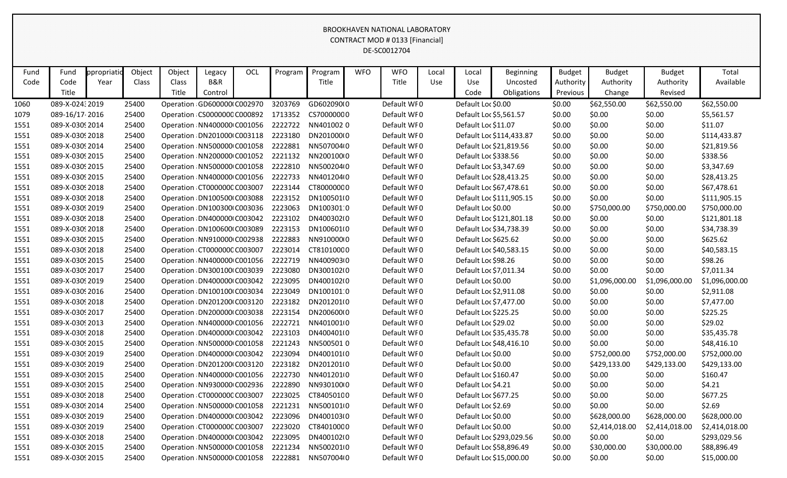|      |                 |            |        |                                    |         |     |         |            |            | BROOKHAVEN NATIONAL LABORATORY  |       |                        |                          |               |                |                |                |
|------|-----------------|------------|--------|------------------------------------|---------|-----|---------|------------|------------|---------------------------------|-------|------------------------|--------------------------|---------------|----------------|----------------|----------------|
|      |                 |            |        |                                    |         |     |         |            |            | CONTRACT MOD # 0133 [Financial] |       |                        |                          |               |                |                |                |
|      |                 |            |        |                                    |         |     |         |            |            | DE-SC0012704                    |       |                        |                          |               |                |                |                |
|      |                 |            |        |                                    |         |     |         |            |            |                                 |       |                        |                          |               |                |                |                |
| Fund | Fund            | ppropriati | Object | Object                             | Legacy  | OCL | Program | Program    | <b>WFO</b> | <b>WFO</b>                      | Local | Local                  | <b>Beginning</b>         | <b>Budget</b> | <b>Budget</b>  | <b>Budget</b>  | Total          |
| Code | Code            | Year       | Class  | Class                              | B&R     |     |         | Title      |            | Title                           | Use   | Use                    | Uncosted                 | Authority     | Authority      | Authority      | Available      |
|      | Title           |            |        | Title                              | Control |     |         |            |            |                                 |       | Code                   | Obligations              | Previous      | Change         | Revised        |                |
| 1060 | 089-X-024: 2019 |            | 25400  | Operation GD600000 C002970         |         |     | 3203769 | GD602090(0 |            | Default WF0                     |       | Default Loc \$0.00     |                          | \$0.00        | \$62,550.00    | \$62,550.00    | \$62,550.00    |
| 1079 | 089-16/17-2016  |            | 25400  | Operation CS0000000 C000892        |         |     | 1713352 | CS70000000 |            | Default WF0                     |       | Default Loc \$5,561.57 |                          | \$0.00        | \$0.00         | \$0.00         | \$5,561.57     |
| 1551 | 089-X-0309 2014 |            | 25400  | Operation NN400000 C001056         |         |     | 2222722 | NN4010020  |            | Default WF0                     |       | Default Loc \$11.07    |                          | \$0.00        | \$0.00         | \$0.00         | \$11.07        |
| 1551 | 089-X-0309 2018 |            | 25400  | Operation DN201000 C003118         |         |     | 2223180 | DN201000(0 |            | Default WF0                     |       |                        | Default Loc \$114,433.87 | \$0.00        | \$0.00         | \$0.00         | \$114,433.87   |
| 1551 | 089-X-0309 2014 |            | 25400  | Operation NN500000 C001058         |         |     | 2222881 | NN5070040  |            | Default WF0                     |       |                        | Default Loc \$21,819.56  | \$0.00        | \$0.00         | \$0.00         | \$21,819.56    |
| 1551 | 089-X-0309 2015 |            | 25400  | Operation NN200000 C001052         |         |     | 2221132 | NN2001000  |            | Default WF0                     |       | Default Loc \$338.56   |                          | \$0.00        | \$0.00         | \$0.00         | \$338.56       |
| 1551 | 089-X-0309 2015 |            | 25400  | Operation: NN500000 C001058        |         |     | 2222810 | NN5002040  |            | Default WF0                     |       | Default Loc \$3,347.69 |                          | \$0.00        | \$0.00         | \$0.00         | \$3,347.69     |
| 1551 | 089-X-0309 2015 |            | 25400  | Operation NN400000 C001056         |         |     | 2222733 | NN4012040  |            | Default WF0                     |       |                        | Default Loc \$28,413.25  | \$0.00        | \$0.00         | \$0.00         | \$28,413.25    |
| 1551 | 089-X-0309 2018 |            | 25400  | Operation CT000000C C003007        |         |     | 2223144 | CT800000C0 |            | Default WF0                     |       |                        | Default Loc \$67,478.61  | \$0.00        | \$0.00         | \$0.00         | \$67,478.61    |
| 1551 | 089-X-03092018  |            | 25400  | Operation DN100500 C003088         |         |     | 2223152 | DN100501(0 |            | Default WF0                     |       |                        | Default Loc \$111,905.15 | \$0.00        | \$0.00         | \$0.00         | \$111,905.15   |
| 1551 | 089-X-0309 2019 |            | 25400  | Operation DN100300 C003036         |         |     | 2223063 | DN100301:0 |            | Default WF0                     |       | Default Loc \$0.00     |                          | \$0.00        | \$750,000.00   | \$750,000.00   | \$750,000.00   |
| 1551 | 089-X-0309 2018 |            | 25400  | Operation DN400000 C003042         |         |     | 2223102 | DN400302(0 |            | Default WF0                     |       |                        | Default Loc \$121,801.18 | \$0.00        | \$0.00         | \$0.00         | \$121,801.18   |
| 1551 | 089-X-0309 2018 |            | 25400  | Operation DN100600 C003089         |         |     | 2223153 | DN100601(0 |            | Default WF0                     |       |                        | Default Loc \$34,738.39  | \$0.00        | \$0.00         | \$0.00         | \$34,738.39    |
| 1551 | 089-X-0309 2015 |            | 25400  | Operation NN910000 C002938         |         |     | 2222883 | NN91000000 |            | Default WF0                     |       | Default Loc \$625.62   |                          | \$0.00        | \$0.00         | \$0.00         | \$625.62       |
| 1551 | 089-X-0309 2018 |            | 25400  | Operation CT000000C C003007        |         |     | 2223014 | CT81010000 |            | Default WF0                     |       |                        | Default Loc \$40,583.15  | \$0.00        | \$0.00         | \$0.00         | \$40,583.15    |
| 1551 | 089-X-0309 2015 |            | 25400  | Operation NN400000 C001056         |         |     | 2222719 | NN400903+0 |            | Default WF0                     |       | Default Loc \$98.26    |                          | \$0.00        | \$0.00         | \$0.00         | \$98.26        |
| 1551 | 089-X-03092017  |            | 25400  | Operation DN300100 C003039         |         |     | 2223080 | DN300102(0 |            | Default WF0                     |       | Default Loc \$7,011.34 |                          | \$0.00        | \$0.00         | \$0.00         | \$7,011.34     |
| 1551 | 089-X-0309 2019 |            | 25400  | Operation DN400000 C003042         |         |     | 2223095 | DN400102(0 |            | Default WF0                     |       | Default Loc \$0.00     |                          | \$0.00        | \$1,096,000.00 | \$1,096,000.00 | \$1,096,000.00 |
| 1551 | 089-X-0309 2016 |            | 25400  | Operation DN100100 C003034         |         |     | 2223049 | DN100101:0 |            | Default WF0                     |       | Default Loc \$2,911.08 |                          | \$0.00        | \$0.00         | \$0.00         | \$2,911.08     |
| 1551 | 089-X-0309 2018 |            | 25400  | Operation DN201200 C003120         |         |     | 2223182 | DN201201(0 |            | Default WF0                     |       | Default Loc \$7,477.00 |                          | \$0.00        | \$0.00         | \$0.00         | \$7,477.00     |
| 1551 | 089-X-03092017  |            | 25400  | Operation DN200000 C003038         |         |     | 2223154 | DN200600(0 |            | Default WF0                     |       | Default Loc \$225.25   |                          | \$0.00        | \$0.00         | \$0.00         | \$225.25       |
| 1551 | 089-X-0309 2013 |            | 25400  | Operation NN400000 C001056         |         |     | 2222721 | NN4010010  |            | Default WF0                     |       | Default Loc \$29.02    |                          | \$0.00        | \$0.00         | \$0.00         | \$29.02        |
| 1551 | 089-X-03092018  |            | 25400  | Operation DN400000 C003042         |         |     | 2223103 | DN400401(0 |            | Default WF0                     |       |                        | Default Loc \$35,435.78  | \$0.00        | \$0.00         | \$0.00         | \$35,435.78    |
| 1551 | 089-X-0309 2015 |            | 25400  | Operation NN500000 C001058 2221243 |         |     |         | NN5005010  |            | Default WF0                     |       |                        | Default Loc \$48,416.10  | \$0.00        | \$0.00         | \$0.00         | \$48,416.10    |
| 1551 | 089-X-0309 2019 |            | 25400  | Operation DN400000 C003042 2223094 |         |     |         | DN400101(0 |            | Default WF0                     |       | Default Loc \$0.00     |                          | \$0.00        | \$752,000.00   | \$752,000.00   | \$752,000.00   |
| 1551 | 089-X-0309 2019 |            | 25400  | Operation DN201200 C003120         |         |     | 2223182 | DN201201(0 |            | Default WF0                     |       | Default Loc \$0.00     |                          | \$0.00        | \$429,133.00   | \$429,133.00   | \$429,133.00   |
| 1551 | 089-X-03092015  |            | 25400  | Operation NN400000 C001056         |         |     | 2222730 | NN4012010  |            | Default WF0                     |       | Default Loc \$160.47   |                          | \$0.00        | \$0.00         | \$0.00         | \$160.47       |
| 1551 | 089-X-03092015  |            | 25400  | Operation NN930000 C002936 2222890 |         |     |         | NN9301000  |            | Default WF0                     |       | Default Loc \$4.21     |                          | \$0.00        | \$0.00         | \$0.00         | \$4.21         |
| 1551 | 089-X-03092018  |            | 25400  | Operation CT000000C C003007        |         |     | 2223025 | CT84050100 |            | Default WF0                     |       | Default Loc \$677.25   |                          | \$0.00        | \$0.00         | \$0.00         | \$677.25       |
| 1551 | 089-X-03092014  |            | 25400  | Operation: NN500000 C001058        |         |     | 2221231 | NN5001010  |            | Default WF0                     |       | Default Loc \$2.69     |                          | \$0.00        | \$0.00         | \$0.00         | \$2.69         |
| 1551 | 089-X-0309 2019 |            | 25400  | Operation DN400000 C003042         |         |     | 2223096 | DN400103(0 |            | Default WF0                     |       | Default Loc \$0.00     |                          | \$0.00        | \$628,000.00   | \$628,000.00   | \$628,000.00   |
| 1551 | 089-X-0309 2019 |            | 25400  | Operation CT000000C C003007        |         |     | 2223020 | CT840100C0 |            | Default WF0                     |       | Default Loc \$0.00     |                          | \$0.00        | \$2,414,018.00 | \$2,414,018.00 | \$2,414,018.00 |
| 1551 | 089-X-0309 2018 |            | 25400  | Operation DN400000 C003042 2223095 |         |     |         | DN400102(0 |            | Default WF0                     |       |                        | Default Loc \$293,029.56 | \$0.00        | \$0.00         | \$0.00         | \$293,029.56   |
| 1551 | 089-X-0309 2015 |            | 25400  | Operation: NN500000 C001058        |         |     | 2221234 | NN5002010  |            | Default WF0                     |       |                        | Default Loc \$58,896.49  | \$0.00        | \$30,000.00    | \$30,000.00    | \$88,896.49    |
| 1551 | 089-X-0309 2015 |            | 25400  | Operation NN500000 C001058         |         |     | 2222881 | NN5070040  |            | Default WF0                     |       |                        | Default Loc \$15,000.00  | \$0.00        | \$0.00         | \$0.00         | \$15,000.00    |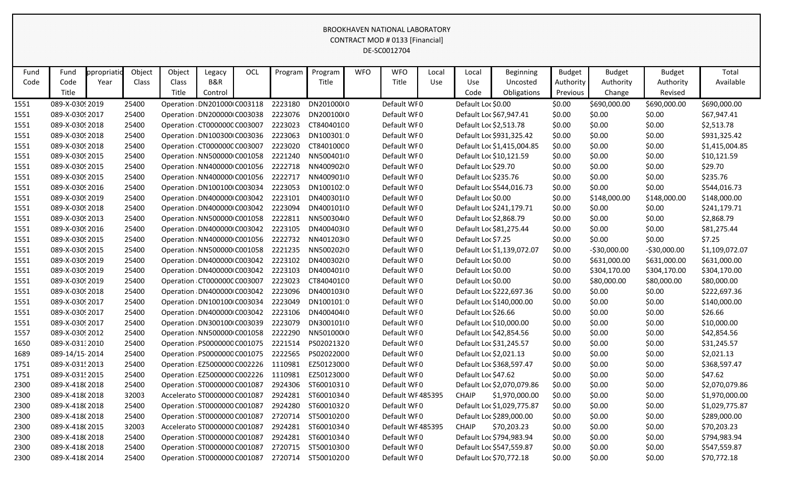|      |                 |             |        |        |                                                |     |                    |            |            | BROOKHAVEN NATIONAL LABORATORY  |       |                     |                            |               |               |               |                |
|------|-----------------|-------------|--------|--------|------------------------------------------------|-----|--------------------|------------|------------|---------------------------------|-------|---------------------|----------------------------|---------------|---------------|---------------|----------------|
|      |                 |             |        |        |                                                |     |                    |            |            | CONTRACT MOD # 0133 [Financial] |       |                     |                            |               |               |               |                |
|      |                 |             |        |        |                                                |     |                    |            |            | DE-SC0012704                    |       |                     |                            |               |               |               |                |
|      |                 |             |        |        |                                                |     |                    |            |            |                                 |       |                     |                            |               |               |               |                |
| Fund | Fund            | ppropriatio | Object | Object | Legacy                                         | OCL | Program            | Program    | <b>WFO</b> | <b>WFO</b>                      | Local | Local               | <b>Beginning</b>           | <b>Budget</b> | <b>Budget</b> | <b>Budget</b> | Total          |
| Code | Code            | Year        | Class  | Class  | B&R                                            |     |                    | Title      |            | Title                           | Use   | Use                 | Uncosted                   | Authority     | Authority     | Authority     | Available      |
|      | Title           |             |        | Title  | Control                                        |     |                    |            |            |                                 |       | Code                | Obligations                | Previous      | Change        | Revised       |                |
| 1551 | 089-X-0309 2019 |             | 25400  |        | Operation DN201000 C003118                     |     | 2223180            | DN201000(0 |            | Default WF0                     |       | Default Loc \$0.00  |                            | \$0.00        | \$690,000.00  | \$690,000.00  | \$690,000.00   |
| 1551 | 089-X-0309 2017 |             | 25400  |        | Operation DN200000 C003038                     |     | 2223076            | DN200100(0 |            | Default WF0                     |       |                     | Default Loc \$67,947.41    | \$0.00        | \$0.00        | \$0.00        | \$67,947.41    |
| 1551 | 089-X-0309 2018 |             | 25400  |        | Operation CT000000C C003007                    |     | 2223023            | CT840401C0 |            | Default WF0                     |       |                     | Default Loc \$2,513.78     | \$0.00        | \$0.00        | \$0.00        | \$2,513.78     |
| 1551 | 089-X-0309 2018 |             | 25400  |        | Operation DN100300 C003036                     |     | 2223063            | DN100301:0 |            | Default WF0                     |       |                     | Default Loc \$931,325.42   | \$0.00        | \$0.00        | \$0.00        | \$931,325.42   |
| 1551 | 089-X-0309 2018 |             | 25400  |        | Operation CT000000CC003007                     |     | 2223020            | CT840100C0 |            | Default WF0                     |       |                     | Default Loc \$1,415,004.85 | \$0.00        | \$0.00        | \$0.00        | \$1,415,004.85 |
| 1551 | 089-X-03092015  |             | 25400  |        | Operation NN500000 C001058                     |     | 2221240            | NN5004010  |            | Default WF0                     |       |                     | Default Loc \$10,121.59    | \$0.00        | \$0.00        | \$0.00        | \$10,121.59    |
| 1551 | 089-X-0309 2015 |             | 25400  |        | Operation NN400000 C001056                     |     | 2222718            | NN40090200 |            | Default WF0                     |       | Default Loc \$29.70 |                            | \$0.00        | \$0.00        | \$0.00        | \$29.70        |
| 1551 | 089-X-0309 2015 |             | 25400  |        | Operation NN400000 C001056                     |     | 2222717            | NN4009010  |            | Default WF0                     |       |                     | Default Loc \$235.76       | \$0.00        | \$0.00        | \$0.00        | \$235.76       |
| 1551 | 089-X-0309 2016 |             | 25400  |        | Operation DN100100 C003034                     |     | 2223053            | DN100102:0 |            | Default WF0                     |       |                     | Default Loc \$544,016.73   | \$0.00        | \$0.00        | \$0.00        | \$544,016.73   |
| 1551 | 089-X-0309 2019 |             | 25400  |        | Operation DN400000 C003042                     |     | 2223101            | DN400301(0 |            | Default WF0                     |       | Default Loc \$0.00  |                            | \$0.00        | \$148,000.00  | \$148,000.00  | \$148,000.00   |
| 1551 | 089-X-0309 2018 |             | 25400  |        | Operation DN400000 C003042                     |     | 2223094            | DN400101(0 |            | Default WF0                     |       |                     | Default Loc \$241,179.71   | \$0.00        | \$0.00        | \$0.00        | \$241,179.71   |
| 1551 | 089-X-0309 2013 |             | 25400  |        | Operation NN500000 C001058                     |     | 2222811            | NN5003040  |            | Default WF0                     |       |                     | Default Loc \$2,868.79     | \$0.00        | \$0.00        | \$0.00        | \$2,868.79     |
| 1551 | 089-X-0309 2016 |             | 25400  |        | Operation DN400000 C003042                     |     | 2223105            | DN400403(0 |            | Default WF0                     |       |                     | Default Loc \$81,275.44    | \$0.00        | \$0.00        | \$0.00        | \$81,275.44    |
| 1551 | 089-X-0309 2015 |             | 25400  |        | Operation NN400000 C001056                     |     | 2222732            | NN40120300 |            | Default WF0                     |       | Default Loc \$7.25  |                            | \$0.00        | \$0.00        | \$0.00        | \$7.25         |
| 1551 | 089-X-0309 2015 |             | 25400  |        | Operation NN500000 C001058                     |     | 2221235            | NN5002020  |            | Default WF0                     |       |                     | Default Loc \$1,139,072.07 | \$0.00        | $-530,000.00$ | $-530,000.00$ | \$1,109,072.07 |
| 1551 | 089-X-0309 2019 |             | 25400  |        | Operation DN400000 C003042                     |     | 2223102            | DN400302(0 |            | Default WF0                     |       | Default Loc \$0.00  |                            | \$0.00        | \$631,000.00  | \$631,000.00  | \$631,000.00   |
| 1551 | 089-X-0309 2019 |             | 25400  |        | Operation DN400000 C003042                     |     | 2223103            | DN400401(0 |            | Default WF0                     |       | Default Loc \$0.00  |                            | \$0.00        | \$304,170.00  | \$304,170.00  | \$304,170.00   |
| 1551 | 089-X-0309 2019 |             | 25400  |        | Operation CT000000C C003007                    |     | 2223023            | CT84040100 |            | Default WF0                     |       | Default Loc \$0.00  |                            | \$0.00        | \$80,000.00   | \$80,000.00   | \$80,000.00    |
| 1551 | 089-X-0309 2018 |             | 25400  |        | Operation DN400000 C003042                     |     | 2223096            | DN400103(0 |            | Default WF0                     |       |                     | Default Loc \$222,697.36   | \$0.00        | \$0.00        | \$0.00        | \$222,697.36   |
| 1551 | 089-X-0309 2017 |             | 25400  |        | Operation DN100100 C003034                     |     | 2223049            | DN100101:0 |            | Default WF0                     |       |                     | Default Loc \$140,000.00   | \$0.00        | \$0.00        | \$0.00        | \$140,000.00   |
| 1551 | 089-X-0309 2017 |             | 25400  |        | Operation DN400000 C003042                     |     | 2223106            | DN400404(0 |            | Default WF0                     |       | Default Loc \$26.66 |                            | \$0.00        | \$0.00        | \$0.00        | \$26.66        |
| 1551 | 089-X-0309 2017 |             | 25400  |        | Operation DN300100 C003039                     |     | 2223079            | DN300101(0 |            | Default WF0                     |       |                     | Default Loc \$10,000.00    | \$0.00        | \$0.00        | \$0.00        | \$10,000.00    |
| 1557 | 089-X-0309 2012 |             | 25400  |        | Operation NN500000 C001058                     |     | 2222290            | NN5010000  |            | Default WF0                     |       |                     | Default Loc \$42,854.56    | \$0.00        | \$0.00        | \$0.00        | \$42,854.56    |
| 1650 | 089-X-031:2010  |             | 25400  |        | Operation PS0000000 C001075                    |     | 2221514            | PS02021320 |            | Default WF0                     |       |                     | Default Loc \$31,245.57    | \$0.00        | \$0.00        | \$0.00        | \$31,245.57    |
| 1689 | 089-14/15-2014  |             | 25400  |        | Operation PS0000000 C001075 2222565 PS02022000 |     |                    |            |            | Default WF0                     |       |                     | Default Loc \$2,021.13     | \$0.00        | \$0.00        | \$0.00        | \$2,021.13     |
| 1751 | 089-X-0315 2013 |             | 25400  |        | Operation EZ5000000 C002226                    |     | 1110981            | EZ50123000 |            | Default WF0                     |       |                     | Default Loc \$368,597.47   | \$0.00        | \$0.00        | \$0.00        | \$368,597.47   |
| 1751 | 089-X-031! 2015 |             | 25400  |        | Operation EZ5000000 C002226 1110981            |     |                    | EZ50123000 |            | Default WF0                     |       | Default Loc \$47.62 |                            | \$0.00        | \$0.00        | \$0.00        | \$47.62        |
| 2300 | 089-X-418(2018  |             | 25400  |        | Operation ST0000000 C001087                    |     | 2924306            | ST60010310 |            | Default WF0                     |       |                     | Default Loc \$2,070,079.86 | \$0.00        | \$0.00        | \$0.00        | \$2,070,079.86 |
| 2300 | 089-X-418(2018  |             | 32003  |        | Accelerato ST0000000 C001087                   |     | 2924281            | ST60010340 |            | Default WF485395                |       | <b>CHAIP</b>        | \$1,970,000.00             | \$0.00        | \$0.00        | \$0.00        | \$1,970,000.00 |
| 2300 | 089-X-418(2018  |             | 25400  |        | Operation ST0000000 C001087                    |     | 2924280            | ST60010320 |            | Default WF0                     |       |                     | Default Loc \$1,029,775.87 | \$0.00        | \$0.00        | \$0.00        | \$1,029,775.87 |
| 2300 | 089-X-418(2018  |             | 25400  |        | Operation ST0000000 C001087                    |     | 2720714            | ST50010200 |            | Default WF0                     |       |                     | Default Loc \$289,000.00   | \$0.00        | \$0.00        | \$0.00        | \$289,000.00   |
| 2300 | 089-X-418(2015  |             | 32003  |        | Accelerato ST0000000 C001087                   |     | 2924281 ST60010340 |            |            | Default WF485395                |       | <b>CHAIP</b>        | \$70,203.23                | \$0.00        | \$0.00        | \$0.00        | \$70,203.23    |
| 2300 | 089-X-418(2018  |             | 25400  |        | Operation ST0000000 C001087                    |     | 2924281            | ST60010340 |            | Default WF0                     |       |                     | Default Loc \$794,983.94   | \$0.00        | \$0.00        | \$0.00        | \$794,983.94   |
| 2300 | 089-X-418(2018  |             | 25400  |        | Operation ST0000000 C001087                    |     | 2720715 ST50010300 |            |            | Default WF0                     |       |                     | Default Loc \$547,559.87   | \$0.00        | \$0.00        | \$0.00        | \$547,559.87   |
| 2300 | 089-X-418(2014  |             | 25400  |        | Operation ST0000000 C001087                    |     | 2720714 ST50010200 |            |            | Default WF0                     |       |                     | Default Loc \$70,772.18    | \$0.00        | \$0.00        | \$0.00        | \$70,772.18    |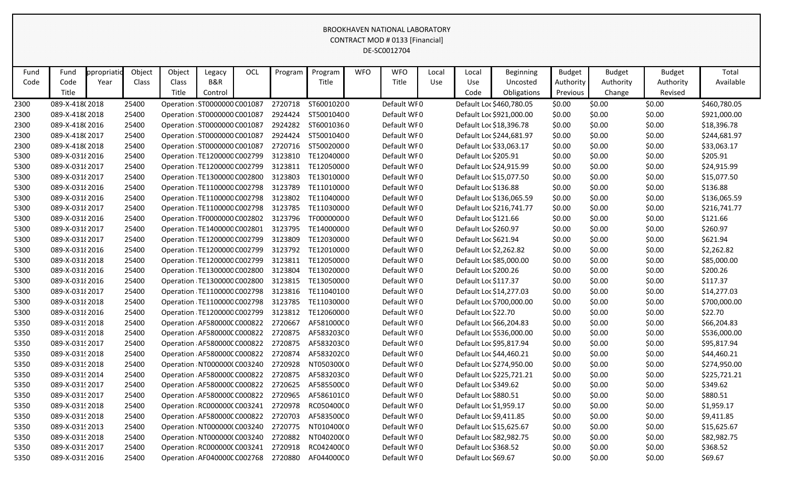|      |                 |            |        |                                     |         |     |         |                                               |            | BROOKHAVEN NATIONAL LABORATORY  |       |                        |                          |               |               |               |              |
|------|-----------------|------------|--------|-------------------------------------|---------|-----|---------|-----------------------------------------------|------------|---------------------------------|-------|------------------------|--------------------------|---------------|---------------|---------------|--------------|
|      |                 |            |        |                                     |         |     |         |                                               |            | CONTRACT MOD # 0133 [Financial] |       |                        |                          |               |               |               |              |
|      |                 |            |        |                                     |         |     |         |                                               |            | DE-SC0012704                    |       |                        |                          |               |               |               |              |
|      |                 |            |        |                                     |         |     |         |                                               |            |                                 |       |                        |                          |               |               |               |              |
| Fund | Fund            | ppropriati | Object | Object                              | Legacy  | OCL | Program | Program                                       | <b>WFO</b> | <b>WFO</b>                      | Local | Local                  | <b>Beginning</b>         | <b>Budget</b> | <b>Budget</b> | <b>Budget</b> | Total        |
| Code | Code            | Year       | Class  | Class                               | B&R     |     |         | Title                                         |            | Title                           | Use   | Use                    | Uncosted                 | Authority     | Authority     | Authority     | Available    |
|      | Title           |            |        | Title                               | Control |     |         |                                               |            |                                 |       | Code                   | Obligations              | Previous      | Change        | Revised       |              |
| 2300 | 089-X-418(2018  |            | 25400  | Operation ST0000000 C001087         |         |     | 2720718 | ST60010200                                    |            | Default WF0                     |       |                        | Default Loc \$460,780.05 | \$0.00        | \$0.00        | \$0.00        | \$460,780.05 |
| 2300 | 089-X-418(2018  |            | 25400  | Operation ST0000000 C001087         |         |     | 2924424 | ST50010400                                    |            | Default WF0                     |       |                        | Default Loc \$921,000.00 | \$0.00        | \$0.00        | \$0.00        | \$921,000.00 |
| 2300 | 089-X-418(2016  |            | 25400  | Operation ST0000000 C001087         |         |     | 2924282 | ST60010360                                    |            | Default WF0                     |       |                        | Default Loc \$18,396.78  | \$0.00        | \$0.00        | \$0.00        | \$18,396.78  |
| 2300 | 089-X-418(2017  |            | 25400  | Operation ST0000000 C001087         |         |     | 2924424 | ST50010400                                    |            | Default WF0                     |       |                        | Default Loc \$244,681.97 | \$0.00        | \$0.00        | \$0.00        | \$244,681.97 |
| 2300 | 089-X-418(2018  |            | 25400  | Operation ST0000000 C001087         |         |     | 2720716 | ST50020000                                    |            | Default WF0                     |       |                        | Default Loc \$33,063.17  | \$0.00        | \$0.00        | \$0.00        | \$33,063.17  |
| 5300 | 089-X-03182016  |            | 25400  | Operation TE1200000 C002799         |         |     | 3123810 | TE12040000                                    |            | Default WF0                     |       | Default Loc \$205.91   |                          | \$0.00        | \$0.00        | \$0.00        | \$205.91     |
| 5300 | 089-X-031 2017  |            | 25400  | Operation TE1200000 C002799         |         |     | 3123811 | TE12050000                                    |            | Default WF0                     |       |                        | Default Loc \$24,915.99  | \$0.00        | \$0.00        | \$0.00        | \$24,915.99  |
| 5300 | 089-X-031 2017  |            | 25400  | Operation TE1300000 C002800         |         |     | 3123803 | TE13010000                                    |            | Default WF0                     |       |                        | Default Loc \$15,077.50  | \$0.00        | \$0.00        | \$0.00        | \$15,077.50  |
| 5300 | 089-X-0318 2016 |            | 25400  | Operation TE1100000 C002798         |         |     | 3123789 | TE11010000                                    |            | Default WF0                     |       | Default Loc \$136.88   |                          | \$0.00        | \$0.00        | \$0.00        | \$136.88     |
| 5300 | 089-X-031 2016  |            | 25400  | Operation TE1100000 C002798         |         |     | 3123802 | TE11040000                                    |            | Default WF0                     |       |                        | Default Loc \$136,065.59 | \$0.00        | \$0.00        | \$0.00        | \$136,065.59 |
| 5300 | 089-X-031 2017  |            | 25400  | Operation TE1100000 C002798         |         |     | 3123785 | TE11030000                                    |            | Default WF0                     |       |                        | Default Loc \$216,741.77 | \$0.00        | \$0.00        | \$0.00        | \$216,741.77 |
| 5300 | 089-X-031 {2016 |            | 25400  | Operation TF0000000 C002802         |         |     | 3123796 | TF00000000                                    |            | Default WF0                     |       | Default Loc \$121.66   |                          | \$0.00        | \$0.00        | \$0.00        | \$121.66     |
| 5300 | 089-X-031 2017  |            | 25400  | Operation TE1400000 C002801         |         |     | 3123795 | TE14000000                                    |            | Default WF0                     |       | Default Loc \$260.97   |                          | \$0.00        | \$0.00        | \$0.00        | \$260.97     |
| 5300 | 089-X-0318 2017 |            | 25400  | Operation TE1200000 C002799         |         |     | 3123809 | TE12030000                                    |            | Default WF0                     |       | Default Loc \$621.94   |                          | \$0.00        | \$0.00        | \$0.00        | \$621.94     |
| 5300 | 089-X-0318 2016 |            | 25400  | Operation TE1200000 C002799         |         |     | 3123792 | TE12010000                                    |            | Default WF0                     |       | Default Loc \$2,262.82 |                          | \$0.00        | \$0.00        | \$0.00        | \$2,262.82   |
| 5300 | 089-X-03182018  |            | 25400  | Operation TE1200000 C002799         |         |     | 3123811 | TE12050000                                    |            | Default WF0                     |       |                        | Default Loc \$85,000.00  | \$0.00        | \$0.00        | \$0.00        | \$85,000.00  |
| 5300 | 089-X-031 2016  |            | 25400  | Operation TE1300000 C002800         |         |     | 3123804 | TE13020000                                    |            | Default WF0                     |       | Default Loc \$200.26   |                          | \$0.00        | \$0.00        | \$0.00        | \$200.26     |
| 5300 | 089-X-031 2016  |            | 25400  | Operation TE1300000 C002800         |         |     | 3123815 | TE13050000                                    |            | Default WF0                     |       | Default Loc \$117.37   |                          | \$0.00        | \$0.00        | \$0.00        | \$117.37     |
| 5300 | 089-X-0318 2017 |            | 25400  | Operation TE1100000 C002798         |         |     | 3123816 | TE11040100                                    |            | Default WF0                     |       |                        | Default Loc \$14,277.03  | \$0.00        | \$0.00        | \$0.00        | \$14,277.03  |
| 5300 | 089-X-031 {2018 |            | 25400  | Operation TE1100000 C002798         |         |     | 3123785 | TE11030000                                    |            | Default WF0                     |       |                        | Default Loc \$700,000.00 | \$0.00        | \$0.00        | \$0.00        | \$700,000.00 |
| 5300 | 089-X-031 {2016 |            | 25400  | Operation TE1200000 C002799         |         |     | 3123812 | TE12060000                                    |            | Default WF0                     |       | Default Loc \$22.70    |                          | \$0.00        | \$0.00        | \$0.00        | \$22.70      |
| 5350 | 089-X-0319 2018 |            | 25400  | Operation AF580000CC000822          |         |     | 2720667 | AF581000C0                                    |            | Default WF0                     |       |                        | Default Loc \$66,204.83  | \$0.00        | \$0.00        | \$0.00        | \$66,204.83  |
| 5350 | 089-X-0319 2018 |            | 25400  | Operation AF580000C C000822 2720875 |         |     |         | AF583203C0                                    |            | Default WF0                     |       |                        | Default Loc \$536,000.00 | \$0.00        | \$0.00        | \$0.00        | \$536,000.00 |
| 5350 | 089-X-03192017  |            | 25400  |                                     |         |     |         | Operation AF580000CC000822 2720875 AF583203C0 |            | Default WF0                     |       |                        | Default Loc \$95,817.94  | \$0.00        | \$0.00        | \$0.00        | \$95,817.94  |
| 5350 | 089-X-03192018  |            | 25400  | Operation AF580000C C000822 2720874 |         |     |         | AF583202C0                                    |            | Default WF0                     |       |                        | Default Loc \$44,460.21  | \$0.00        | \$0.00        | \$0.00        | \$44,460.21  |
| 5350 | 089-X-0319 2018 |            | 25400  | Operation NT000000(C003240          |         |     | 2720928 | NT050300(0                                    |            | Default WF0                     |       |                        | Default Loc \$274,950.00 | \$0.00        | \$0.00        | \$0.00        | \$274,950.00 |
| 5350 | 089-X-03192014  |            | 25400  | Operation AF580000C C000822 2720875 |         |     |         | AF583203C0                                    |            | Default WF0                     |       |                        | Default Loc \$225,721.21 | \$0.00        | \$0.00        | \$0.00        | \$225,721.21 |
| 5350 | 089-X-03192017  |            | 25400  | Operation AF580000C C000822 2720625 |         |     |         | AF585500C0                                    |            | Default WF0                     |       | Default Loc \$349.62   |                          | \$0.00        | \$0.00        | \$0.00        | \$349.62     |
| 5350 | 089-X-03192017  |            | 25400  | Operation AF580000C C000822         |         |     | 2720965 | AF586101C0                                    |            | Default WF0                     |       | Default Loc \$880.51   |                          | \$0.00        | \$0.00        | \$0.00        | \$880.51     |
| 5350 | 089-X-0319 2018 |            | 25400  | Operation RC000000CC003241          |         |     | 2720978 | RC05040000                                    |            | Default WF0                     |       | Default Loc \$1,959.17 |                          | \$0.00        | \$0.00        | \$0.00        | \$1,959.17   |
| 5350 | 089-X-03192018  |            | 25400  | Operation AF580000CC000822          |         |     | 2720703 | AF583500C0                                    |            | Default WF0                     |       | Default Loc \$9,411.85 |                          | \$0.00        | \$0.00        | \$0.00        | \$9,411.85   |
| 5350 | 089-X-03192013  |            | 25400  | Operation NT000000(C003240 2720775  |         |     |         | NT010400(0                                    |            | Default WF0                     |       |                        | Default Loc \$15,625.67  | \$0.00        | \$0.00        | \$0.00        | \$15,625.67  |
| 5350 | 089-X-03192018  |            | 25400  | Operation NT000000(C003240 2720882  |         |     |         | NT040200(0                                    |            | Default WF0                     |       |                        | Default Loc \$82,982.75  | \$0.00        | \$0.00        | \$0.00        | \$82,982.75  |
| 5350 | 089-X-0319 2017 |            | 25400  | Operation RC0000000 C003241         |         |     | 2720918 | RC04240000                                    |            | Default WF0                     |       | Default Loc \$368.52   |                          | \$0.00        | \$0.00        | \$0.00        | \$368.52     |
| 5350 | 089-X-0319 2016 |            | 25400  | Operation AF040000C C002768 2720880 |         |     |         | AF044000C0                                    |            | Default WF0                     |       | Default Loc \$69.67    |                          | \$0.00        | \$0.00        | \$0.00        | \$69.67      |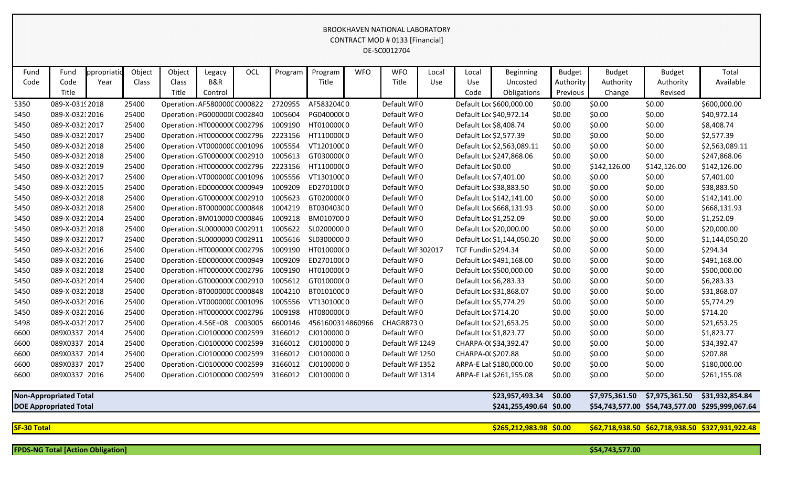|                    |                               |             |        |        |                               |     |         |                  |            | <b>BROOKHAVEN NATIONAL LABORATORY</b><br>CONTRACT MOD # 0133 [Financial]<br>DE-SC0012704 |            |                            |                            |               |                               |               |                                                  |
|--------------------|-------------------------------|-------------|--------|--------|-------------------------------|-----|---------|------------------|------------|------------------------------------------------------------------------------------------|------------|----------------------------|----------------------------|---------------|-------------------------------|---------------|--------------------------------------------------|
| Fund               | Fund                          | ppropriatio | Object | Object | Legacy                        | OCL | Program | Program          | <b>WFO</b> | <b>WFO</b>                                                                               | Local      | Local                      | Beginning                  | <b>Budget</b> | <b>Budget</b>                 | <b>Budget</b> | Total                                            |
| Code               | Code                          | Year        | Class  | Class  | B&R                           |     |         | Title            |            | Title                                                                                    | <b>Use</b> | <b>Use</b>                 | Uncosted                   | Authority     | Authority                     | Authority     | Available                                        |
|                    | Title                         |             |        | Title  | Control                       |     |         |                  |            |                                                                                          |            | Code                       | Obligations                | Previous      | Change                        | Revised       |                                                  |
| 5350               | 089-X-0319 2018               |             | 25400  |        | Operation AF580000C C000822   |     | 2720955 | AF583204C0       |            | Default WF0                                                                              |            |                            | Default Loc \$600,000.00   | \$0.00        | \$0.00                        | \$0.00        | \$600,000.00                                     |
| 5450               | 089-X-03212016                |             | 25400  |        | Operation PG000000(C002840    |     | 1005604 | PG040000(0       |            | Default WF0                                                                              |            | Default Loc \$40,972.14    |                            | \$0.00        | \$0.00                        | \$0.00        | \$40,972.14                                      |
| 5450               | 089-X-03212017                |             | 25400  |        | Operation HT000000(C002796    |     | 1009190 | HT01000000       |            | Default WF0                                                                              |            | Default Loc \$8,408.74     |                            | \$0.00        | \$0.00                        | \$0.00        | \$8,408.74                                       |
| 5450               | 089-X-03212017                |             | 25400  |        | Operation HT0000000 C002796   |     | 2223156 | HT11000000       |            | Default WF0                                                                              |            | Default Loc \$2,577.39     |                            | \$0.00        | \$0.00                        | \$0.00        | \$2,577.39                                       |
| 5450               | 089-X-03212018                |             | 25400  |        | Operation VT000000C C001096   |     | 1005554 | VT12010000       |            | Default WF0                                                                              |            |                            | Default Loc \$2,563,089.11 | \$0.00        | \$0.00                        | \$0.00        | \$2,563,089.11                                   |
| 5450               | 089-X-03212018                |             | 25400  |        | Operation GT0000000 C002910   |     | 1005613 | GT03000000       |            | Default WF0                                                                              |            |                            | Default Loc \$247,868.06   | \$0.00        | \$0.00                        | \$0.00        | \$247,868.06                                     |
| 5450               | 089-X-03212019                |             | 25400  |        | Operation HT000000(C002796    |     | 2223156 | HT11000000       |            | Default WF0                                                                              |            | Default Loc \$0.00         |                            | \$0.00        | \$142,126.00                  | \$142,126.00  | \$142,126.00                                     |
| 5450               | 089-X-03212017                |             | 25400  |        | Operation VT000000CC001096    |     | 1005556 | VT13010000       |            | Default WF0                                                                              |            | Default Loc \$7,401.00     |                            | \$0.00        | \$0.00                        | \$0.00        | \$7,401.00                                       |
| 5450               | 089-X-03212015                |             | 25400  |        | Operation ED0000000 C000949   |     | 1009209 | ED270100(0       |            | Default WF0                                                                              |            | Default Loc \$38,883.50    |                            | \$0.00        | \$0.00                        | \$0.00        | \$38,883.50                                      |
| 5450               | 089-X-03212018                |             | 25400  |        | Operation GT0000000 C002910   |     | 1005623 | GT020000(0       |            | Default WF0                                                                              |            |                            | Default Loc \$142,141.00   | \$0.00        | \$0.00                        | \$0.00        | \$142,141.00                                     |
| 5450               | 089-X-03212018                |             | 25400  |        | Operation BT000000C C000848   |     | 1004219 | BT030403C0       |            | Default WF0                                                                              |            |                            | Default Loc \$668,131.93   | \$0.00        | \$0.00                        | \$0.00        | \$668,131.93                                     |
| 5450               | 089-X-03212014                |             | 25400  |        | Operation BM010000 C000846    |     | 1009218 | BM0107000        |            | Default WF0                                                                              |            | Default Loc \$1,252.09     |                            | \$0.00        | \$0.00                        | \$0.00        | \$1,252.09                                       |
| 5450               | 089-X-03212018                |             | 25400  |        | Operation SL0000000 C002911   |     | 1005622 | SL02000000       |            | Default WF0                                                                              |            | Default Loc \$20,000.00    |                            | \$0.00        | \$0.00                        | \$0.00        | \$20,000.00                                      |
| 5450               | 089-X-03212017                |             | 25400  |        | Operation SL0000000 C002911   |     | 1005616 | SL03000000       |            | Default WF0                                                                              |            |                            | Default Loc \$1,144,050.20 | \$0.00        | \$0.00                        | \$0.00        | \$1,144,050.20                                   |
| 5450               | 089-X-03212016                |             | 25400  |        | Operation HT0000000 C002796   |     | 1009190 | HT01000000       |            | Default WF 302017                                                                        |            | <b>TCF Fundin \$294.34</b> |                            | \$0.00        | \$0.00                        | \$0.00        | \$294.34                                         |
| 5450               | 089-X-03212016                |             | 25400  |        | Operation ED0000000 C000949   |     | 1009209 | ED270100(0       |            | Default WF0                                                                              |            |                            | Default Loc \$491,168.00   | \$0.00        | \$0.00                        | \$0.00        | \$491,168.00                                     |
| 5450               | 089-X-03212018                |             | 25400  |        | Operation HT0000000 C002796   |     | 1009190 | HT01000000       |            | Default WF0                                                                              |            |                            | Default Loc \$500,000.00   | \$0.00        | \$0.00                        | \$0.00        | \$500,000.00                                     |
| 5450               | 089-X-03212014                |             | 25400  |        | Operation GT0000000 C002910   |     | 1005612 | GT01000000       |            | Default WF0                                                                              |            | Default Loc \$6,283.33     |                            | \$0.00        | \$0.00                        | \$0.00        | \$6,283.33                                       |
| 5450               | 089-X-03212018                |             | 25400  |        | Operation BT000000C C000848   |     | 1004210 | BT010100C0       |            | Default WF0                                                                              |            | Default Loc \$31,868.07    |                            | \$0.00        | \$0.00                        | \$0.00        | \$31,868.07                                      |
| 5450               | 089-X-03212016                |             | 25400  |        | Operation VT000000C C001096   |     | 1005556 | VT13010000       |            | Default WF0                                                                              |            | Default Loc \$5,774.29     |                            | \$0.00        | \$0.00                        | \$0.00        | \$5,774.29                                       |
| 5450               | 089-X-03212016                |             | 25400  |        | Operation HT000000(C002796    |     | 1009198 | HT08000000       |            | Default WF0                                                                              |            | Default Loc \$714.20       |                            | \$0.00        | \$0.00                        | \$0.00        | \$714.20                                         |
| 5498               | 089-X-03212017                |             | 25400  |        | Operation: 4.56E+08 C003005   |     | 6600146 | 4561600314860966 |            | CHAGR8730                                                                                |            | Default Loc \$21,653.25    |                            | \$0.00        | \$0.00                        | \$0.00        | \$21,653.25                                      |
| 6600               | 089X0337 2014                 |             | 25400  |        | Operation CJ0100000 C002599   |     | 3166012 | CJ01000000       |            | Default WF0                                                                              |            | Default Loc \$1,823.77     |                            | \$0.00        | \$0.00                        | \$0.00        | \$1,823.77                                       |
| 6600               | 089X0337 2014                 |             | 25400  |        | Operation CJ0100000 C002599   |     | 3166012 | CJ01000000       |            | Default WF 1249                                                                          |            | CHARPA-0(\$34,392.47       |                            | \$0.00        | \$0.00                        | \$0.00        | \$34,392.47                                      |
| 6600               | 089X0337 2014                 |             | 25400  |        | Operation CJ0100000 C002599   |     | 3166012 | CJ01000000       |            | Default WF1250                                                                           |            | CHARPA-0(\$207.88          |                            | \$0.00        | \$0.00                        | \$0.00        | \$207.88                                         |
| 6600               | 089X0337 2017                 |             | 25400  |        | Operation : CJ0100000 C002599 |     | 3166012 | CJ01000000       |            | Default WF 1352                                                                          |            |                            | ARPA-E Lat \$180,000.00    | \$0.00        | \$0.00                        | \$0.00        | \$180,000.00                                     |
| 6600               | 089X0337 2016                 |             | 25400  |        | Operation CJ0100000 C002599   |     | 3166012 | CJ01000000       |            | Default WF 1314                                                                          |            |                            | ARPA-E Lat \$261,155.08    | \$0.00        | \$0.00                        | \$0.00        | \$261,155.08                                     |
|                    | <b>Non-Appropriated Total</b> |             |        |        |                               |     |         |                  |            |                                                                                          |            |                            | \$23,957,493.34            | \$0.00        | \$7,975,361.50 \$7,975,361.50 |               | \$31,932,854.84                                  |
|                    | <b>DOE Appropriated Total</b> |             |        |        |                               |     |         |                  |            |                                                                                          |            |                            | \$241,255,490.64 \$0.00    |               |                               |               | \$54,743,577.00 \$54,743,577.00 \$295,999,067.64 |
| <b>SF-30 Total</b> |                               |             |        |        |                               |     |         |                  |            |                                                                                          |            |                            | \$265,212,983.98 \$0.00    |               |                               |               | \$62,718,938.50 \$62,718,938.50 \$327,931,922.48 |

**FPDS-NG Total [Action Obligation] \$54,743,577.00**